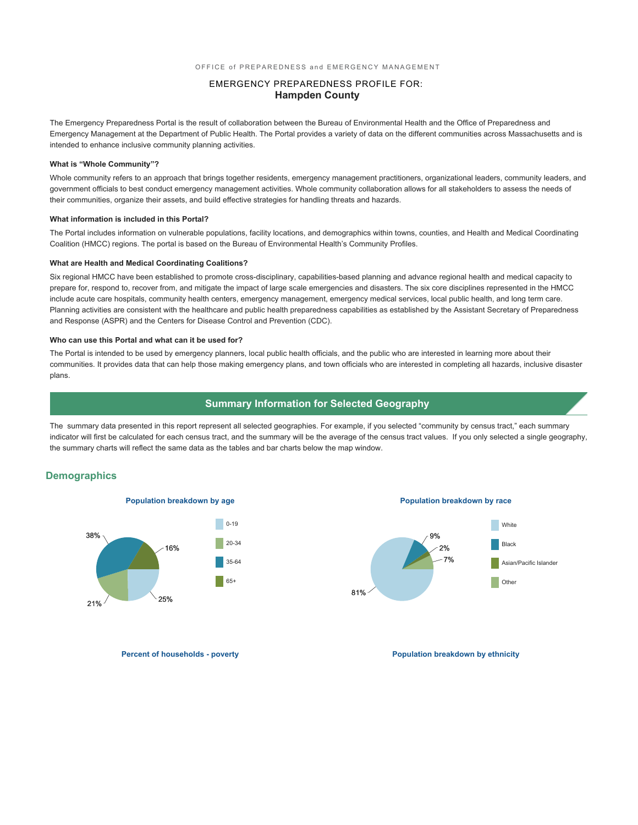### EMERGENCY PREPAREDNESS PROFILE FOR: **Hampden County**

The Emergency Preparedness Portal is the result of collaboration between the Bureau of Environmental Health and the Office of Preparedness and Emergency Management at the Department of Public Health. The Portal provides a variety of data on the different communities across Massachusetts and is intended to enhance inclusive community planning activities.

### **What is "Whole Community"?**

Whole community refers to an approach that brings together residents, emergency management practitioners, organizational leaders, community leaders, and government officials to best conduct emergency management activities. Whole community collaboration allows for all stakeholders to assess the needs of their communities, organize their assets, and build effective strategies for handling threats and hazards.

#### **What information is included in this Portal?**

The Portal includes information on vulnerable populations, facility locations, and demographics within towns, counties, and Health and Medical Coordinating Coalition (HMCC) regions. The portal is based on the Bureau of Environmental Health's Community Profiles.

#### **What are Health and Medical Coordinating Coalitions?**

Six regional HMCC have been established to promote cross-disciplinary, capabilities-based planning and advance regional health and medical capacity to prepare for, respond to, recover from, and mitigate the impact of large scale emergencies and disasters. The six core disciplines represented in the HMCC include acute care hospitals, community health centers, emergency management, emergency medical services, local public health, and long term care. Planning activities are consistent with the healthcare and public health preparedness capabilities as established by the Assistant Secretary of Preparedness and Response (ASPR) and the Centers for Disease Control and Prevention (CDC).

#### **Who can use this Portal and what can it be used for?**

The Portal is intended to be used by emergency planners, local public health officials, and the public who are interested in learning more about their communities. It provides data that can help those making emergency plans, and town officials who are interested in completing all hazards, inclusive disaster plans.

### **Summary Information for Selected Geography**

The summary data presented in this report represent all selected geographies. For example, if you selected "community by census tract," each summary indicator will first be calculated for each census tract, and the summary will be the average of the census tract values. If you only selected a single geography, the summary charts will reflect the same data as the tables and bar charts below the map window.

### **Demographics**





**Percent of households - poverty and the powerty of the population breakdown by ethnicity**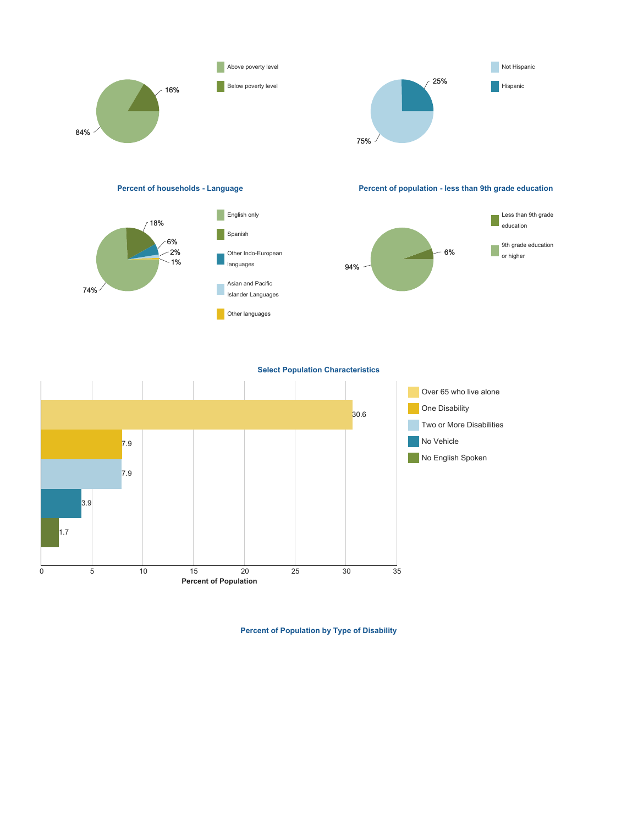

**Percent of households - Language Percent of population - less than 9th grade education**





**Select Population Characteristics**



**Percent of Population by Type of Disability**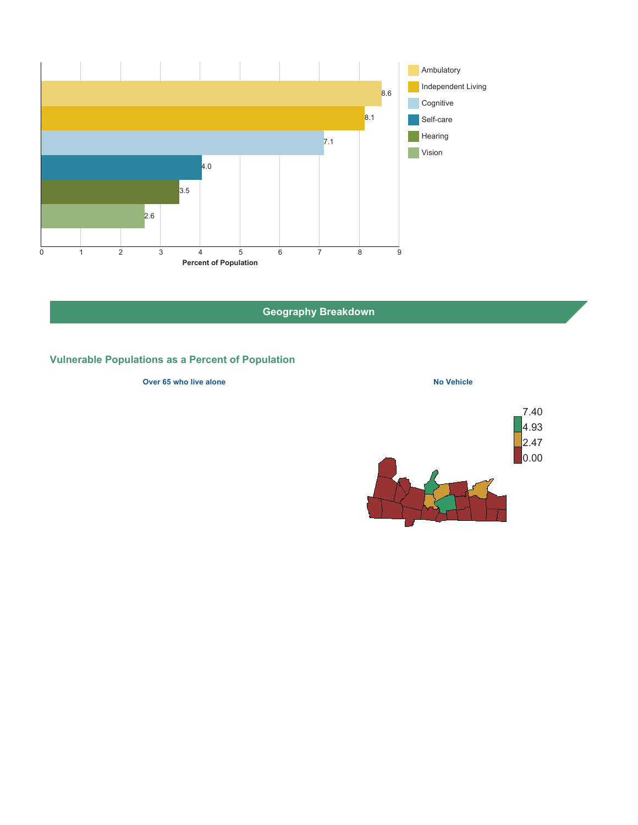

# **Geography Breakdown**

# **Vulnerable Populations as a Percent of Population**

### **Over 65 who live alone No Vehicle No Vehicle**

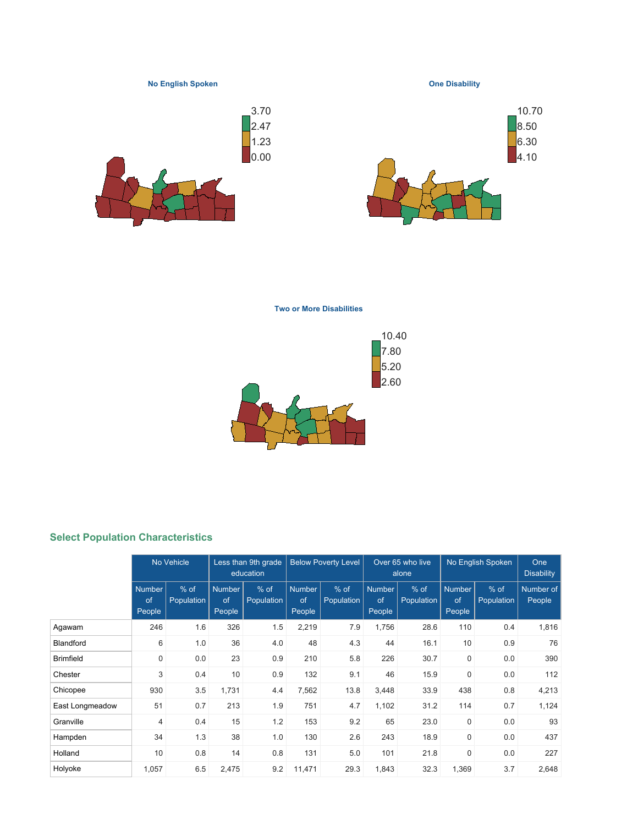

**Two or More Disabilities**



## **Select Population Characteristics**

|                  | No Vehicle                    |                      | Less than 9th grade<br>education |                      | <b>Below Poverty Level</b>    |                      |                               | Over 65 who live<br>alone |                               | No English Spoken    | One<br><b>Disability</b> |
|------------------|-------------------------------|----------------------|----------------------------------|----------------------|-------------------------------|----------------------|-------------------------------|---------------------------|-------------------------------|----------------------|--------------------------|
|                  | <b>Number</b><br>of<br>People | $%$ of<br>Population | <b>Number</b><br>of<br>People    | $%$ of<br>Population | <b>Number</b><br>of<br>People | $%$ of<br>Population | <b>Number</b><br>of<br>People | $%$ of<br>Population      | <b>Number</b><br>of<br>People | $%$ of<br>Population | Number of<br>People      |
| Agawam           | 246                           | 1.6                  | 326                              | 1.5                  | 2,219                         | 7.9                  | 1,756                         | 28.6                      | 110                           | 0.4                  | 1,816                    |
| <b>Blandford</b> | 6                             | 1.0                  | 36                               | 4.0                  | 48                            | 4.3                  | 44                            | 16.1                      | 10                            | 0.9                  | 76                       |
| <b>Brimfield</b> | $\mathbf 0$                   | 0.0                  | 23                               | 0.9                  | 210                           | 5.8                  | 226                           | 30.7                      | $\mathbf 0$                   | 0.0                  | 390                      |
| Chester          | 3                             | 0.4                  | 10                               | 0.9                  | 132                           | 9.1                  | 46                            | 15.9                      | $\mathbf 0$                   | 0.0                  | 112                      |
| Chicopee         | 930                           | 3.5                  | 1,731                            | 4.4                  | 7,562                         | 13.8                 | 3,448                         | 33.9                      | 438                           | 0.8                  | 4,213                    |
| East Longmeadow  | 51                            | 0.7                  | 213                              | 1.9                  | 751                           | 4.7                  | 1,102                         | 31.2                      | 114                           | 0.7                  | 1,124                    |
| Granville        | $\overline{4}$                | 0.4                  | 15                               | 1.2                  | 153                           | 9.2                  | 65                            | 23.0                      | $\mathbf 0$                   | 0.0                  | 93                       |
| Hampden          | 34                            | 1.3                  | 38                               | 1.0                  | 130                           | 2.6                  | 243                           | 18.9                      | $\mathbf 0$                   | 0.0                  | 437                      |
| Holland          | 10                            | 0.8                  | 14                               | 0.8                  | 131                           | 5.0                  | 101                           | 21.8                      | $\mathbf 0$                   | 0.0                  | 227                      |
| Holyoke          | 1,057                         | 6.5                  | 2,475                            | 9.2                  | 11,471                        | 29.3                 | 1,843                         | 32.3                      | 1,369                         | 3.7                  | 2,648                    |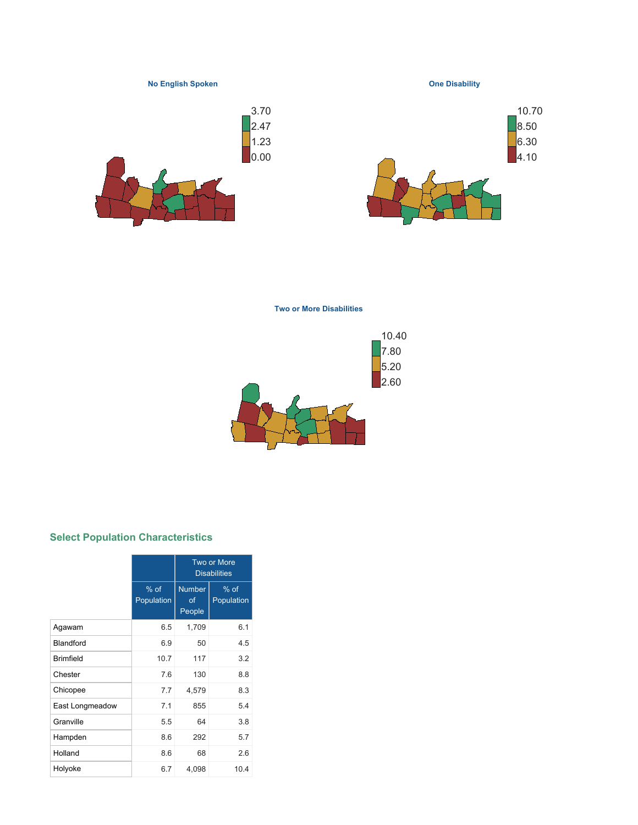

**Two or More Disabilities**



## **Select Population Characteristics**

|                  |                      |                               | <b>Two or More</b><br><b>Disabilities</b> |
|------------------|----------------------|-------------------------------|-------------------------------------------|
|                  | $%$ of<br>Population | <b>Number</b><br>οf<br>People | $%$ of<br>Population                      |
| Agawam           | 6.5                  | 1,709                         | 6.1                                       |
| Blandford        | 6.9                  | 50                            | 4.5                                       |
| <b>Brimfield</b> | 10.7                 | 117                           | 3.2                                       |
| Chester          | 7.6                  | 130                           | 8.8                                       |
| Chicopee         | 7.7                  | 4,579                         | 8.3                                       |
| East Longmeadow  | 7.1                  | 855                           | 5.4                                       |
| Granville        | 5.5                  | 64                            | 3.8                                       |
| Hampden          | 8.6                  | 292                           | 5.7                                       |
| Holland          | 8.6                  | 68                            | 2.6                                       |
| Holyoke          | 6.7                  | 4,098                         | 10.4                                      |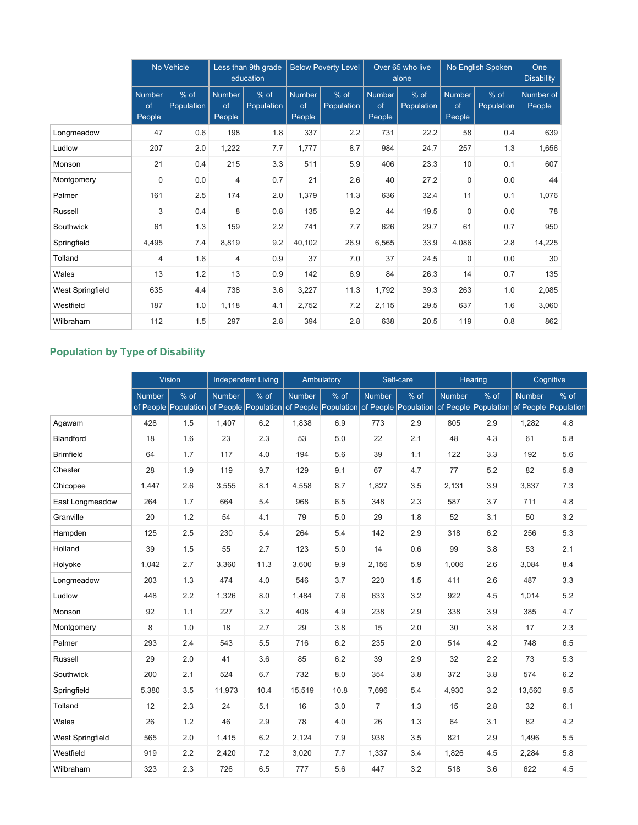|                  | No Vehicle             |                    |                               | Less than 9th grade<br>education |                               | <b>Below Poverty Level</b> |                               | Over 65 who live<br>alone |                               | No English Spoken  | One<br><b>Disability</b> |
|------------------|------------------------|--------------------|-------------------------------|----------------------------------|-------------------------------|----------------------------|-------------------------------|---------------------------|-------------------------------|--------------------|--------------------------|
|                  | Number<br>of<br>People | % of<br>Population | <b>Number</b><br>of<br>People | % of<br>Population               | <b>Number</b><br>of<br>People | $%$ of<br>Population       | <b>Number</b><br>of<br>People | $%$ of<br>Population      | <b>Number</b><br>of<br>People | % of<br>Population | Number of<br>People      |
| Longmeadow       | 47                     | 0.6                | 198                           | 1.8                              | 337                           | 2.2                        | 731                           | 22.2                      | 58                            | 0.4                | 639                      |
| Ludlow           | 207                    | 2.0                | 1,222                         | 7.7                              | 1,777                         | 8.7                        | 984                           | 24.7                      | 257                           | 1.3                | 1,656                    |
| Monson           | 21                     | 0.4                | 215                           | 3.3                              | 511                           | 5.9                        | 406                           | 23.3                      | 10                            | 0.1                | 607                      |
| Montgomery       | $\mathbf 0$            | 0.0                | $\overline{4}$                | 0.7                              | 21                            | 2.6                        | 40                            | 27.2                      | $\mathbf 0$                   | 0.0                | 44                       |
| Palmer           | 161                    | 2.5                | 174                           | 2.0                              | 1,379                         | 11.3                       | 636                           | 32.4                      | 11                            | 0.1                | 1,076                    |
| Russell          | 3                      | 0.4                | 8                             | 0.8                              | 135                           | 9.2                        | 44                            | 19.5                      | $\mathbf 0$                   | 0.0                | 78                       |
| Southwick        | 61                     | 1.3                | 159                           | 2.2                              | 741                           | 7.7                        | 626                           | 29.7                      | 61                            | 0.7                | 950                      |
| Springfield      | 4,495                  | 7.4                | 8,819                         | 9.2                              | 40,102                        | 26.9                       | 6,565                         | 33.9                      | 4,086                         | 2.8                | 14,225                   |
| Tolland          | $\overline{4}$         | 1.6                | $\overline{4}$                | 0.9                              | 37                            | 7.0                        | 37                            | 24.5                      | $\mathbf 0$                   | 0.0                | 30                       |
| Wales            | 13                     | 1.2                | 13                            | 0.9                              | 142                           | 6.9                        | 84                            | 26.3                      | 14                            | 0.7                | 135                      |
| West Springfield | 635                    | 4.4                | 738                           | 3.6                              | 3,227                         | 11.3                       | 1,792                         | 39.3                      | 263                           | 1.0                | 2,085                    |
| Westfield        | 187                    | 1.0                | 1,118                         | 4.1                              | 2,752                         | 7.2                        | 2,115                         | 29.5                      | 637                           | 1.6                | 3,060                    |
| Wilbraham        | 112                    | 1.5                | 297                           | 2.8                              | 394                           | 2.8                        | 638                           | 20.5                      | 119                           | 0.8                | 862                      |

# **Population by Type of Disability**

|                         | <b>Vision</b> |                                           | <b>Independent Living</b> |      |               | Ambulatory                                |                | Self-care |               | Hearing              |               | Cognitive            |
|-------------------------|---------------|-------------------------------------------|---------------------------|------|---------------|-------------------------------------------|----------------|-----------|---------------|----------------------|---------------|----------------------|
|                         | <b>Number</b> | $%$ of                                    | <b>Number</b>             | % of | <b>Number</b> | $%$ of                                    | <b>Number</b>  | % of      | <b>Number</b> | % of                 | <b>Number</b> | % of                 |
|                         |               | of People Population of People Population |                           |      |               | of People Population of People Population |                |           |               | of People Population |               | of People Population |
| Agawam                  | 428           | 1.5                                       | 1,407                     | 6.2  | 1,838         | 6.9                                       | 773            | 2.9       | 805           | 2.9                  | 1,282         | 4.8                  |
| Blandford               | 18            | 1.6                                       | 23                        | 2.3  | 53            | 5.0                                       | 22             | 2.1       | 48            | 4.3                  | 61            | 5.8                  |
| <b>Brimfield</b>        | 64            | 1.7                                       | 117                       | 4.0  | 194           | 5.6                                       | 39             | 1.1       | 122           | 3.3                  | 192           | 5.6                  |
| Chester                 | 28            | 1.9                                       | 119                       | 9.7  | 129           | 9.1                                       | 67             | 4.7       | 77            | 5.2                  | 82            | 5.8                  |
| Chicopee                | 1,447         | 2.6                                       | 3,555                     | 8.1  | 4,558         | 8.7                                       | 1,827          | 3.5       | 2,131         | 3.9                  | 3,837         | 7.3                  |
| East Longmeadow         | 264           | 1.7                                       | 664                       | 5.4  | 968           | 6.5                                       | 348            | 2.3       | 587           | 3.7                  | 711           | 4.8                  |
| Granville               | 20            | 1.2                                       | 54                        | 4.1  | 79            | 5.0                                       | 29             | 1.8       | 52            | 3.1                  | 50            | 3.2                  |
| Hampden                 | 125           | 2.5                                       | 230                       | 5.4  | 264           | 5.4                                       | 142            | 2.9       | 318           | 6.2                  | 256           | 5.3                  |
| Holland                 | 39            | 1.5                                       | 55                        | 2.7  | 123           | 5.0                                       | 14             | 0.6       | 99            | 3.8                  | 53            | 2.1                  |
| Holyoke                 | 1.042         | 2.7                                       | 3,360                     | 11.3 | 3,600         | 9.9                                       | 2,156          | 5.9       | 1.006         | 2.6                  | 3,084         | 8.4                  |
| Longmeadow              | 203           | 1.3                                       | 474                       | 4.0  | 546           | 3.7                                       | 220            | 1.5       | 411           | 2.6                  | 487           | 3.3                  |
| Ludlow                  | 448           | 2.2                                       | 1,326                     | 8.0  | 1,484         | 7.6                                       | 633            | 3.2       | 922           | 4.5                  | 1,014         | 5.2                  |
| Monson                  | 92            | 1.1                                       | 227                       | 3.2  | 408           | 4.9                                       | 238            | 2.9       | 338           | 3.9                  | 385           | 4.7                  |
| Montgomery              | 8             | 1.0                                       | 18                        | 2.7  | 29            | 3.8                                       | 15             | 2.0       | 30            | 3.8                  | 17            | 2.3                  |
| Palmer                  | 293           | 2.4                                       | 543                       | 5.5  | 716           | 6.2                                       | 235            | 2.0       | 514           | 4.2                  | 748           | 6.5                  |
| Russell                 | 29            | 2.0                                       | 41                        | 3.6  | 85            | 6.2                                       | 39             | 2.9       | 32            | 2.2                  | 73            | 5.3                  |
| Southwick               | 200           | 2.1                                       | 524                       | 6.7  | 732           | 8.0                                       | 354            | 3.8       | 372           | 3.8                  | 574           | 6.2                  |
| Springfield             | 5,380         | 3.5                                       | 11,973                    | 10.4 | 15,519        | 10.8                                      | 7,696          | 5.4       | 4,930         | 3.2                  | 13,560        | 9.5                  |
| Tolland                 | 12            | 2.3                                       | 24                        | 5.1  | 16            | 3.0                                       | $\overline{7}$ | 1.3       | 15            | 2.8                  | 32            | 6.1                  |
| Wales                   | 26            | 1.2                                       | 46                        | 2.9  | 78            | 4.0                                       | 26             | 1.3       | 64            | 3.1                  | 82            | 4.2                  |
| <b>West Springfield</b> | 565           | 2.0                                       | 1,415                     | 6.2  | 2,124         | 7.9                                       | 938            | 3.5       | 821           | 2.9                  | 1,496         | 5.5                  |
| Westfield               | 919           | 2.2                                       | 2,420                     | 7.2  | 3,020         | 7.7                                       | 1,337          | 3.4       | 1,826         | 4.5                  | 2,284         | 5.8                  |
| Wilbraham               | 323           | 2.3                                       | 726                       | 6.5  | 777           | 5.6                                       | 447            | 3.2       | 518           | 3.6                  | 622           | 4.5                  |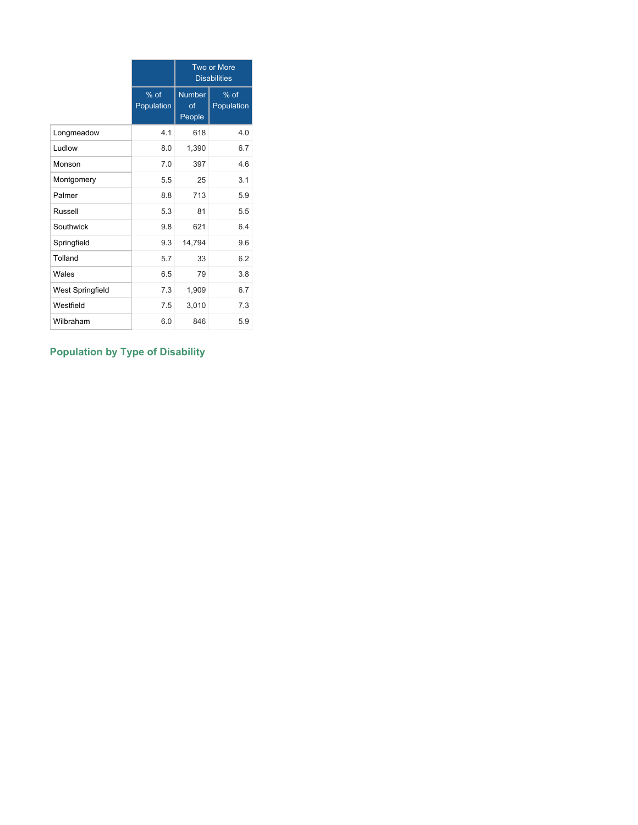|                         |                      |                               | <b>Two or More</b><br><b>Disabilities</b> |
|-------------------------|----------------------|-------------------------------|-------------------------------------------|
|                         | $%$ of<br>Population | <b>Number</b><br>of<br>People | $%$ of<br>Population                      |
| Longmeadow              | 4.1                  | 618                           | 4.0                                       |
| Ludlow                  | 8.0                  | 1,390                         | 6.7                                       |
| Monson                  | 7.0                  | 397                           | 4.6                                       |
| Montgomery              | 5.5                  | 25                            | 3.1                                       |
| Palmer                  | 8.8                  | 713                           | 5.9                                       |
| Russell                 | 5.3                  | 81                            | 5.5                                       |
| Southwick               | 9.8                  | 621                           | 64                                        |
| Springfield             | 9.3                  | 14,794                        | 9.6                                       |
| Tolland                 | 5.7                  | 33                            | 6.2                                       |
| Wales                   | 6.5                  | 79                            | 3.8                                       |
| <b>West Springfield</b> | 7.3                  | 1,909                         | 6.7                                       |
| Westfield               | 7.5                  | 3,010                         | 7.3                                       |
| Wilbraham               | 6.0                  | 846                           | 5.9                                       |

# **Population by Type of Disability**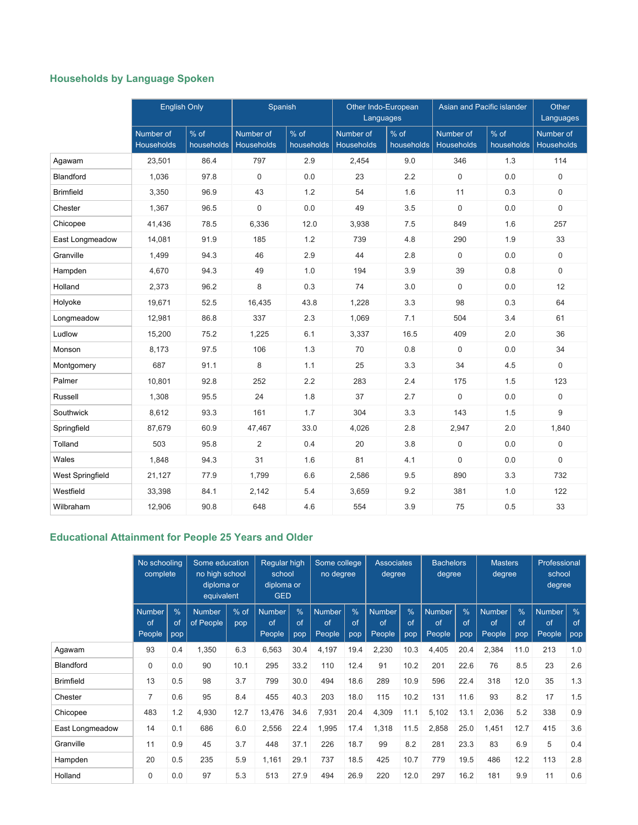# **Households by Language Spoken**

|                         | <b>English Only</b>     |                      | Spanish                 |                    | Other Indo-European<br>Languages |                    | Asian and Pacific islander |                      | Other<br>Languages             |
|-------------------------|-------------------------|----------------------|-------------------------|--------------------|----------------------------------|--------------------|----------------------------|----------------------|--------------------------------|
|                         | Number of<br>Households | $%$ of<br>households | Number of<br>Households | % of<br>households | Number of<br>Households          | % of<br>households | Number of<br>Households    | $%$ of<br>households | Number of<br><b>Households</b> |
| Agawam                  | 23,501                  | 86.4                 | 797                     | 2.9                | 2,454                            | 9.0                | 346                        | 1.3                  | 114                            |
| Blandford               | 1,036                   | 97.8                 | 0                       | 0.0                | 23                               | 2.2                | $\mathbf 0$                | 0.0                  | 0                              |
| <b>Brimfield</b>        | 3,350                   | 96.9                 | 43                      | 1.2                | 54                               | 1.6                | 11                         | 0.3                  | 0                              |
| Chester                 | 1,367                   | 96.5                 | 0                       | 0.0                | 49                               | 3.5                | $\mathbf 0$                | 0.0                  | 0                              |
| Chicopee                | 41,436                  | 78.5                 | 6,336                   | 12.0               | 3,938                            | 7.5                | 849                        | 1.6                  | 257                            |
| East Longmeadow         | 14,081                  | 91.9                 | 185                     | 1.2                | 739                              | 4.8                | 290                        | 1.9                  | 33                             |
| Granville               | 1,499                   | 94.3                 | 46                      | 2.9                | 44                               | 2.8                | $\mathbf 0$                | 0.0                  | 0                              |
| Hampden                 | 4,670                   | 94.3                 | 49                      | 1.0                | 194                              | 3.9                | 39                         | 0.8                  | 0                              |
| Holland                 | 2,373                   | 96.2                 | 8                       | 0.3                | 74                               | 3.0                | $\mathbf 0$                | 0.0                  | 12                             |
| Holyoke                 | 19,671                  | 52.5                 | 16,435                  | 43.8               | 1,228                            | 3.3                | 98                         | 0.3                  | 64                             |
| Longmeadow              | 12,981                  | 86.8                 | 337                     | 2.3                | 1,069                            | 7.1                | 504                        | 3.4                  | 61                             |
| Ludlow                  | 15,200                  | 75.2                 | 1,225                   | 6.1                | 3,337                            | 16.5               | 409                        | 2.0                  | 36                             |
| Monson                  | 8,173                   | 97.5                 | 106                     | 1.3                | 70                               | 0.8                | $\Omega$                   | 0.0                  | 34                             |
| Montgomery              | 687                     | 91.1                 | 8                       | 1.1                | 25                               | 3.3                | 34                         | 4.5                  | 0                              |
| Palmer                  | 10,801                  | 92.8                 | 252                     | 2.2                | 283                              | 2.4                | 175                        | 1.5                  | 123                            |
| Russell                 | 1,308                   | 95.5                 | 24                      | 1.8                | 37                               | 2.7                | $\mathbf 0$                | 0.0                  | 0                              |
| Southwick               | 8,612                   | 93.3                 | 161                     | 1.7                | 304                              | 3.3                | 143                        | 1.5                  | 9                              |
| Springfield             | 87,679                  | 60.9                 | 47,467                  | 33.0               | 4,026                            | 2.8                | 2,947                      | 2.0                  | 1,840                          |
| Tolland                 | 503                     | 95.8                 | $\overline{2}$          | 0.4                | 20                               | 3.8                | $\mathbf 0$                | 0.0                  | 0                              |
| Wales                   | 1,848                   | 94.3                 | 31                      | 1.6                | 81                               | 4.1                | $\mathbf 0$                | 0.0                  | 0                              |
| <b>West Springfield</b> | 21,127                  | 77.9                 | 1,799                   | 6.6                | 2,586                            | 9.5                | 890                        | 3.3                  | 732                            |
| Westfield               | 33,398                  | 84.1                 | 2,142                   | 5.4                | 3,659                            | 9.2                | 381                        | 1.0                  | 122                            |
| Wilbraham               | 12,906                  | 90.8                 | 648                     | 4.6                | 554                              | 3.9                | 75                         | 0.5                  | 33                             |

# **Educational Attainment for People 25 Years and Older**

|                  | No schooling<br>complete      |                            | Some education<br>no high school<br>diploma or<br>equivalent |               | <b>Reqular high</b><br>school<br>diploma or<br><b>GED</b> |                            | Some college<br>no degree     |                            | <b>Associates</b><br>degree   |                            | <b>Bachelors</b><br>degree    |                            | <b>Masters</b><br>degree      |                            | Professional<br>school<br>degree |                            |
|------------------|-------------------------------|----------------------------|--------------------------------------------------------------|---------------|-----------------------------------------------------------|----------------------------|-------------------------------|----------------------------|-------------------------------|----------------------------|-------------------------------|----------------------------|-------------------------------|----------------------------|----------------------------------|----------------------------|
|                  | <b>Number</b><br>of<br>People | $\frac{0}{0}$<br>of<br>pop | <b>Number</b><br>of People                                   | $%$ of<br>pop | <b>Number</b><br>of<br>People                             | $\frac{9}{6}$<br>of<br>pop | <b>Number</b><br>of<br>People | $\frac{0}{0}$<br>of<br>pop | <b>Number</b><br>of<br>People | $\frac{0}{6}$<br>of<br>pop | <b>Number</b><br>of<br>People | $\frac{0}{6}$<br>of<br>pop | <b>Number</b><br>of<br>People | $\frac{9}{6}$<br>of<br>pop | <b>Number</b><br>of<br>People    | $\frac{0}{6}$<br>of<br>pop |
| Agawam           | 93                            | 0.4                        | 1,350                                                        | 6.3           | 6,563                                                     | 30.4                       | 4,197                         | 19.4                       | 2,230                         | 10.3                       | 4,405                         | 20.4                       | 2,384                         | 11.0                       | 213                              | 1.0                        |
| Blandford        | $\mathbf 0$                   | 0.0                        | 90                                                           | 10.1          | 295                                                       | 33.2                       | 110                           | 12.4                       | 91                            | 10.2                       | 201                           | 22.6                       | 76                            | 8.5                        | 23                               | 2.6                        |
| <b>Brimfield</b> | 13                            | 0.5                        | 98                                                           | 3.7           | 799                                                       | 30.0                       | 494                           | 18.6                       | 289                           | 10.9                       | 596                           | 22.4                       | 318                           | 12.0                       | 35                               | 1.3                        |
| Chester          | $\overline{7}$                | 0.6                        | 95                                                           | 8.4           | 455                                                       | 40.3                       | 203                           | 18.0                       | 115                           | 10.2                       | 131                           | 11.6                       | 93                            | 8.2                        | 17                               | 1.5                        |
| Chicopee         | 483                           | 1.2                        | 4,930                                                        | 12.7          | 13,476                                                    | 34.6                       | 7,931                         | 20.4                       | 4,309                         | 11.1                       | 5,102                         | 13.1                       | 2,036                         | 5.2                        | 338                              | 0.9                        |
| East Longmeadow  | 14                            | 0.1                        | 686                                                          | 6.0           | 2,556                                                     | 22.4                       | 1,995                         | 17.4                       | 1,318                         | 11.5                       | 2,858                         | 25.0                       | 1,451                         | 12.7                       | 415                              | 3.6                        |
| Granville        | 11                            | 0.9                        | 45                                                           | 3.7           | 448                                                       | 37.1                       | 226                           | 18.7                       | 99                            | 8.2                        | 281                           | 23.3                       | 83                            | 6.9                        | 5                                | 0.4                        |
| Hampden          | 20                            | 0.5                        | 235                                                          | 5.9           | 1,161                                                     | 29.1                       | 737                           | 18.5                       | 425                           | 10.7                       | 779                           | 19.5                       | 486                           | 12.2                       | 113                              | 2.8                        |
| Holland          | 0                             | 0.0                        | 97                                                           | 5.3           | 513                                                       | 27.9                       | 494                           | 26.9                       | 220                           | 12.0                       | 297                           | 16.2                       | 181                           | 9.9                        | 11                               | 0.6                        |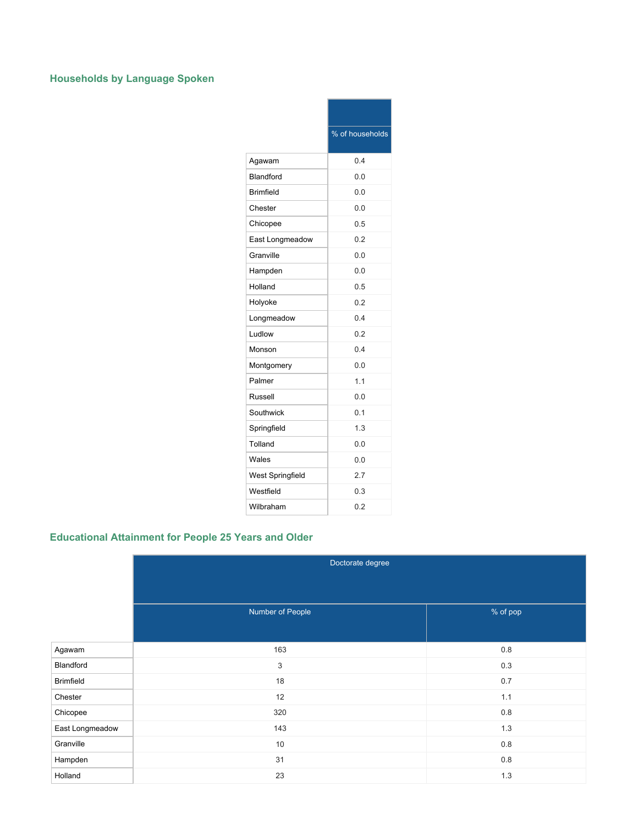# **Households by Language Spoken**

|                         | % of households |
|-------------------------|-----------------|
| Agawam                  | 0.4             |
| Blandford               | 0.0             |
| <b>Brimfield</b>        | 0.0             |
| Chester                 | 0.0             |
| Chicopee                | 0.5             |
| East Longmeadow         | 0.2             |
| Granville               | 0.0             |
| Hampden                 | 0.0             |
| Holland                 | 0.5             |
| Holyoke                 | 0.2             |
| Longmeadow              | 0.4             |
| Ludlow                  | 0.2             |
| Monson                  | 0.4             |
| Montgomery              | 0.0             |
| Palmer                  | 1.1             |
| Russell                 | 0.0             |
| Southwick               | 0.1             |
| Springfield             | 1.3             |
| Tolland                 | 0.0             |
| Wales                   | 0.0             |
| <b>West Springfield</b> | 2.7             |
| Westfield               | 0.3             |
| Wilbraham               | 0.2             |

# **Educational Attainment for People 25 Years and Older**

|                  | Doctorate degree |          |
|------------------|------------------|----------|
|                  |                  |          |
|                  | Number of People | % of pop |
|                  |                  |          |
| Agawam           | 163              | 0.8      |
| Blandford        | 3                | 0.3      |
| <b>Brimfield</b> | 18               | 0.7      |
| Chester          | 12               | 1.1      |
| Chicopee         | 320              | $0.8\,$  |
| East Longmeadow  | 143              | 1.3      |
| Granville        | 10               | 0.8      |
| Hampden          | 31               | $0.8\,$  |
| Holland          | 23               | $1.3$    |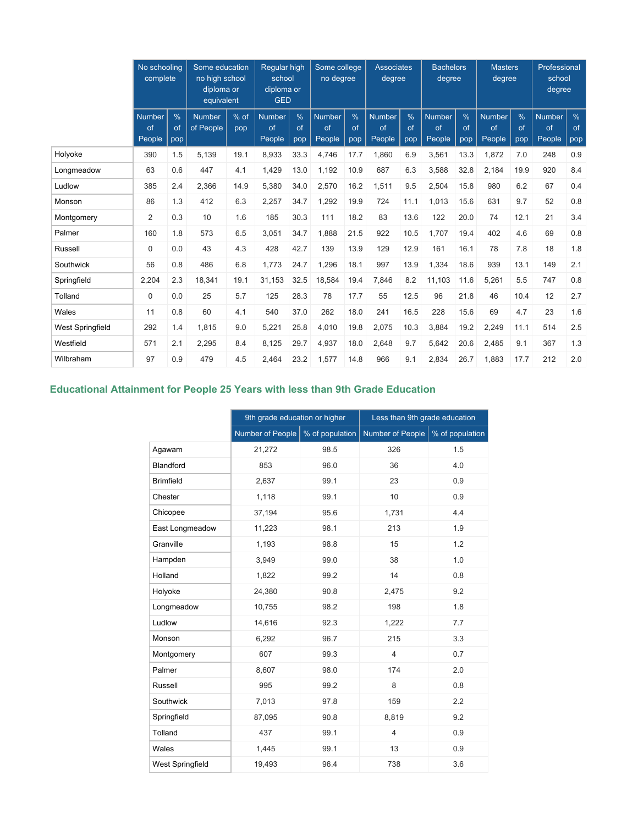|                         | No schooling<br>complete      |                            | Some education<br>no high school<br>diploma or<br>equivalent |             |                               | <b>Reaular high</b><br>school<br>diploma or<br><b>GED</b> |                               | Some college<br>no degree  |                               | <b>Associates</b><br>degree |                               | <b>Bachelors</b><br>degree | <b>Masters</b><br>degree      |                            | Professional<br>school<br>degree |                            |
|-------------------------|-------------------------------|----------------------------|--------------------------------------------------------------|-------------|-------------------------------|-----------------------------------------------------------|-------------------------------|----------------------------|-------------------------------|-----------------------------|-------------------------------|----------------------------|-------------------------------|----------------------------|----------------------------------|----------------------------|
|                         | <b>Number</b><br>of<br>People | $\frac{0}{0}$<br>of<br>pop | <b>Number</b><br>of People                                   | % of<br>pop | <b>Number</b><br>of<br>People | $\%$<br>of<br>pop                                         | <b>Number</b><br>of<br>People | $\frac{0}{6}$<br>of<br>pop | <b>Number</b><br>of<br>People | $\frac{9}{6}$<br>of<br>pop  | <b>Number</b><br>of<br>People | %<br>of<br>pop             | <b>Number</b><br>of<br>People | $\frac{9}{6}$<br>of<br>pop | <b>Number</b><br>of<br>People    | $\frac{9}{6}$<br>of<br>pop |
| Holyoke                 | 390                           | 1.5                        | 5,139                                                        | 19.1        | 8,933                         | 33.3                                                      | 4,746                         | 17.7                       | 1,860                         | 6.9                         | 3,561                         | 13.3                       | 1,872                         | 7.0                        | 248                              | 0.9                        |
| Longmeadow              | 63                            | 0.6                        | 447                                                          | 4.1         | 1,429                         | 13.0                                                      | 1,192                         | 10.9                       | 687                           | 6.3                         | 3,588                         | 32.8                       | 2,184                         | 19.9                       | 920                              | 8.4                        |
| Ludlow                  | 385                           | 2.4                        | 2.366                                                        | 14.9        | 5,380                         | 34.0                                                      | 2,570                         | 16.2                       | 1,511                         | 9.5                         | 2,504                         | 15.8                       | 980                           | 6.2                        | 67                               | 0.4                        |
| Monson                  | 86                            | 1.3                        | 412                                                          | 6.3         | 2,257                         | 34.7                                                      | 1,292                         | 19.9                       | 724                           | 11.1                        | 1,013                         | 15.6                       | 631                           | 9.7                        | 52                               | 0.8                        |
| Montgomery              | $\overline{2}$                | 0.3                        | 10                                                           | 1.6         | 185                           | 30.3                                                      | 111                           | 18.2                       | 83                            | 13.6                        | 122                           | 20.0                       | 74                            | 12.1                       | 21                               | 3.4                        |
| Palmer                  | 160                           | 1.8                        | 573                                                          | 6.5         | 3,051                         | 34.7                                                      | 1,888                         | 21.5                       | 922                           | 10.5                        | 1,707                         | 19.4                       | 402                           | 4.6                        | 69                               | 0.8                        |
| Russell                 | 0                             | 0.0                        | 43                                                           | 4.3         | 428                           | 42.7                                                      | 139                           | 13.9                       | 129                           | 12.9                        | 161                           | 16.1                       | 78                            | 7.8                        | 18                               | 1.8                        |
| Southwick               | 56                            | 0.8                        | 486                                                          | 6.8         | 1,773                         | 24.7                                                      | 1,296                         | 18.1                       | 997                           | 13.9                        | 1,334                         | 18.6                       | 939                           | 13.1                       | 149                              | 2.1                        |
| Springfield             | 2,204                         | 2.3                        | 18,341                                                       | 19.1        | 31,153                        | 32.5                                                      | 18,584                        | 19.4                       | 7,846                         | 8.2                         | 11,103                        | 11.6                       | 5,261                         | 5.5                        | 747                              | 0.8                        |
| Tolland                 | $\Omega$                      | 0.0                        | 25                                                           | 5.7         | 125                           | 28.3                                                      | 78                            | 17.7                       | 55                            | 12.5                        | 96                            | 21.8                       | 46                            | 10.4                       | 12                               | 2.7                        |
| Wales                   | 11                            | 0.8                        | 60                                                           | 4.1         | 540                           | 37.0                                                      | 262                           | 18.0                       | 241                           | 16.5                        | 228                           | 15.6                       | 69                            | 4.7                        | 23                               | 1.6                        |
| <b>West Springfield</b> | 292                           | 1.4                        | 1.815                                                        | 9.0         | 5,221                         | 25.8                                                      | 4,010                         | 19.8                       | 2,075                         | 10.3                        | 3,884                         | 19.2                       | 2,249                         | 11.1                       | 514                              | 2.5                        |
| Westfield               | 571                           | 2.1                        | 2,295                                                        | 8.4         | 8,125                         | 29.7                                                      | 4,937                         | 18.0                       | 2,648                         | 9.7                         | 5,642                         | 20.6                       | 2,485                         | 9.1                        | 367                              | 1.3                        |
| Wilbraham               | 97                            | 0.9                        | 479                                                          | 4.5         | 2.464                         | 23.2                                                      | 1,577                         | 14.8                       | 966                           | 9.1                         | 2,834                         | 26.7                       | 1.883                         | 17.7                       | 212                              | 2.0                        |

## **Educational Attainment for People 25 Years with less than 9th Grade Education**

|                  | 9th grade education or higher |                 | Less than 9th grade education |                 |
|------------------|-------------------------------|-----------------|-------------------------------|-----------------|
|                  | Number of People              | % of population | Number of People              | % of population |
| Agawam           | 21,272                        | 98.5            | 326                           | 1.5             |
| <b>Blandford</b> | 853                           | 96.0            | 36                            | 4.0             |
| <b>Brimfield</b> | 2,637                         | 99.1            | 23                            | 0.9             |
| Chester          | 1,118                         | 99.1            | 10                            | 0.9             |
| Chicopee         | 37,194                        | 95.6            | 1,731                         | 4.4             |
| East Longmeadow  | 11,223                        | 98.1            | 213                           | 1.9             |
| Granville        | 1,193                         | 98.8            | 15                            | 1.2             |
| Hampden          | 3,949                         | 99.0            | 38                            | 1.0             |
| Holland          | 1,822                         | 99.2            | 14                            | 0.8             |
| Holyoke          | 24,380                        | 90.8            | 2,475                         | 9.2             |
| Longmeadow       | 10,755                        | 98.2            | 198                           | 1.8             |
| Ludlow           | 14,616                        | 92.3            | 1,222                         | 7.7             |
| Monson           | 6,292                         | 96.7            | 215                           | 3.3             |
| Montgomery       | 607                           | 99.3            | $\overline{4}$                | 0.7             |
| Palmer           | 8,607                         | 98.0            | 174                           | 2.0             |
| Russell          | 995                           | 99.2            | 8                             | 0.8             |
| Southwick        | 7,013                         | 97.8            | 159                           | 2.2             |
| Springfield      | 87,095                        | 90.8            | 8,819                         | 9.2             |
| Tolland          | 437                           | 99.1            | $\overline{4}$                | 0.9             |
| Wales            | 1,445                         | 99.1            | 13                            | 0.9             |
| West Springfield | 19,493                        | 96.4            | 738                           | 3.6             |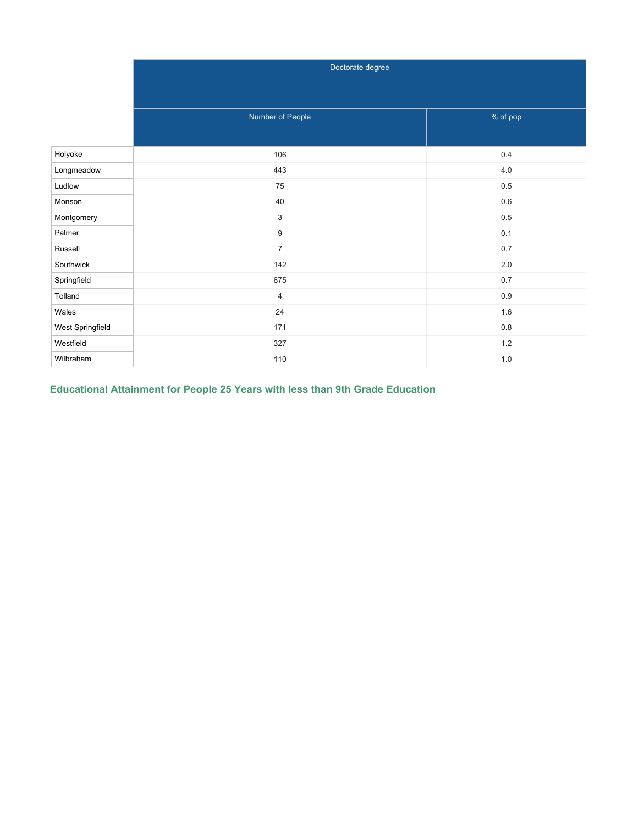|                  | Doctorate degree          |          |
|------------------|---------------------------|----------|
|                  |                           |          |
|                  |                           |          |
|                  | Number of People          | % of pop |
|                  |                           |          |
| Holyoke          | 106                       | $0.4\,$  |
| Longmeadow       | 443                       | $4.0\,$  |
| Ludlow           | 75                        | $0.5\,$  |
| Monson           | 40                        | $0.6\,$  |
| Montgomery       | $\ensuremath{\mathsf{3}}$ | $0.5\,$  |
| Palmer           | 9                         | 0.1      |
| Russell          | $\overline{7}$            | $0.7\,$  |
| Southwick        | 142                       | $2.0\,$  |
| Springfield      | 675                       | 0.7      |
| Tolland          | $\overline{4}$            | $0.9\,$  |
| Wales            | 24                        | 1.6      |
| West Springfield | 171                       | $0.8\,$  |
| Westfield        | 327                       | $1.2\,$  |
| Wilbraham        | 110                       | $1.0\,$  |

**Educational Attainment for People 25 Years with less than 9th Grade Education**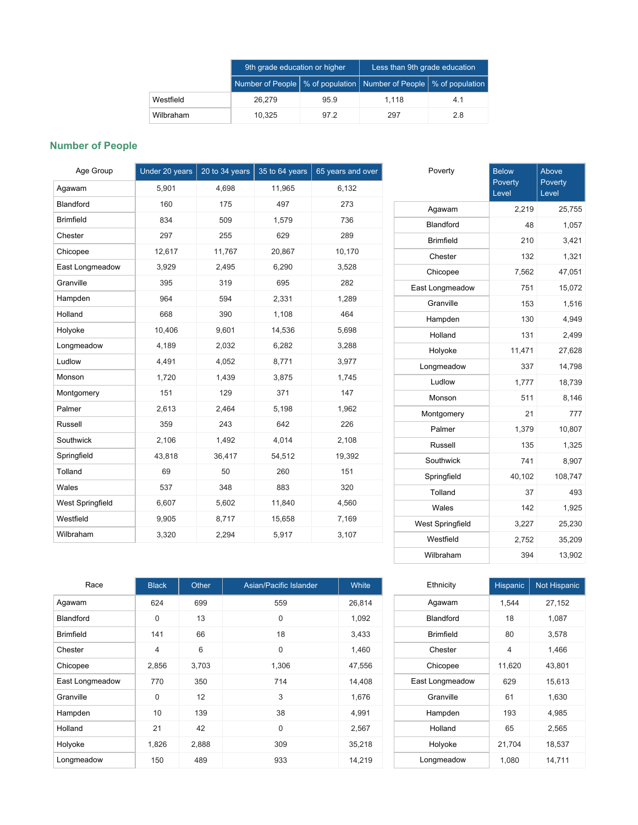|           | 9th grade education or higher                                           |      | Less than 9th grade education |     |  |
|-----------|-------------------------------------------------------------------------|------|-------------------------------|-----|--|
|           | Number of People   % of population   Number of People   % of population |      |                               |     |  |
| Westfield | 26.279                                                                  | 95.9 | 1.118                         | 4.1 |  |
| Wilbraham | 10.325                                                                  | 97.2 | 297                           | 2.8 |  |

## **Number of People**

| Age Group        | Under 20 years | 20 to 34 years | 35 to 64 years | 65 years and over | Poverty          | <b>Below</b>    |
|------------------|----------------|----------------|----------------|-------------------|------------------|-----------------|
| Agawam           | 5,901          | 4,698          | 11,965         | 6,132             |                  | Povert<br>Level |
| Blandford        | 160            | 175            | 497            | 273               | Agawam           |                 |
| <b>Brimfield</b> | 834            | 509            | 1,579          | 736               | <b>Blandford</b> |                 |
| Chester          | 297            | 255            | 629            | 289               | <b>Brimfield</b> |                 |
| Chicopee         | 12,617         | 11,767         | 20,867         | 10,170            | Chester          |                 |
| East Longmeadow  | 3,929          | 2,495          | 6,290          | 3,528             | Chicopee         |                 |
| Granville        | 395            | 319            | 695            | 282               | East Longmeadow  |                 |
| Hampden          | 964            | 594            | 2,331          | 1,289             | Granville        |                 |
| Holland          | 668            | 390            | 1,108          | 464               | Hampden          |                 |
| Holyoke          | 10,406         | 9,601          | 14,536         | 5,698             | Holland          |                 |
| Longmeadow       | 4,189          | 2,032          | 6,282          | 3,288             | Holyoke          | $\mathbf{1}$    |
| Ludlow           | 4,491          | 4,052          | 8,771          | 3,977             | Longmeadow       |                 |
| Monson           | 1,720          | 1,439          | 3,875          | 1,745             | Ludlow           |                 |
| Montgomery       | 151            | 129            | 371            | 147               | Monson           |                 |
| Palmer           | 2,613          | 2,464          | 5,198          | 1,962             | Montgomery       |                 |
| Russell          | 359            | 243            | 642            | 226               | Palmer           |                 |
| Southwick        | 2,106          | 1,492          | 4,014          | 2,108             | Russell          |                 |
| Springfield      | 43,818         | 36,417         | 54,512         | 19,392            | Southwick        |                 |
| Tolland          | 69             | 50             | 260            | 151               | Springfield      | $\overline{4}$  |
| Wales            | 537            | 348            | 883            | 320               | Tolland          |                 |
| West Springfield | 6,607          | 5,602          | 11,840         | 4,560             | Wales            |                 |
| Westfield        | 9,905          | 8,717          | 15,658         | 7,169             | West Springfield |                 |
| Wilbraham        | 3,320          | 2,294          | 5,917          | 3,107             | Westfield        |                 |
|                  |                |                |                |                   |                  |                 |

|                  | Poverty<br>Level | Poverty<br>Level |
|------------------|------------------|------------------|
| Agawam           | 2,219            | 25,755           |
| Blandford        | 48               | 1,057            |
| <b>Brimfield</b> | 210              | 3,421            |
| Chester          | 132              | 1,321            |
| Chicopee         | 7,562            | 47,051           |
| East Longmeadow  | 751              | 15,072           |
| Granville        | 153              | 1,516            |
| Hampden          | 130              | 4,949            |
| Holland          | 131              | 2,499            |
| Holyoke          | 11,471           | 27,628           |
| Longmeadow       | 337              | 14,798           |
| Ludlow           | 1,777            | 18,739           |
| Monson           | 511              | 8,146            |
| Montgomery       | 21               | 777              |
| Palmer           | 1,379            | 10,807           |
| Russell          | 135              | 1,325            |
| Southwick        | 741              | 8,907            |
| Springfield      | 40,102           | 108,747          |
| Tolland          | 37               | 493              |
| Wales            | 142              | 1,925            |
| West Springfield | 3,227            | 25,230           |
| Westfield        | 2,752            | 35,209           |
| Wilbraham        | 394              | 13,902           |

Above

| Race             | <b>Black</b>   | Other | Asian/Pacific Islander | White  |
|------------------|----------------|-------|------------------------|--------|
| Agawam           | 624            | 699   | 559                    | 26,814 |
| <b>Blandford</b> | $\Omega$       | 13    | $\Omega$               | 1,092  |
| <b>Brimfield</b> | 141            | 66    | 18                     | 3,433  |
| Chester          | $\overline{4}$ | 6     | 0                      | 1,460  |
| Chicopee         | 2,856          | 3,703 | 1,306                  | 47,556 |
| East Longmeadow  | 770            | 350   | 714                    | 14,408 |
| Granville        | $\mathbf 0$    | 12    | 3                      | 1,676  |
| Hampden          | 10             | 139   | 38                     | 4,991  |
| Holland          | 21             | 42    | $\Omega$               | 2,567  |
| Holyoke          | 1,826          | 2,888 | 309                    | 35,218 |
| Longmeadow       | 150            | 489   | 933                    | 14,219 |

| Ethnicity        | <b>Hispanic</b> | Not Hispanic |
|------------------|-----------------|--------------|
| Agawam           | 1,544           | 27,152       |
| <b>Blandford</b> | 18              | 1,087        |
| <b>Brimfield</b> | 80              | 3,578        |
| Chester          | 4               | 1,466        |
| Chicopee         | 11,620          | 43,801       |
| East Longmeadow  | 629             | 15,613       |
| Granville        | 61              | 1,630        |
| Hampden          | 193             | 4,985        |
| Holland          | 65              | 2,565        |
| Holyoke          | 21,704          | 18,537       |
| Longmeadow       | 1,080           | 14,711       |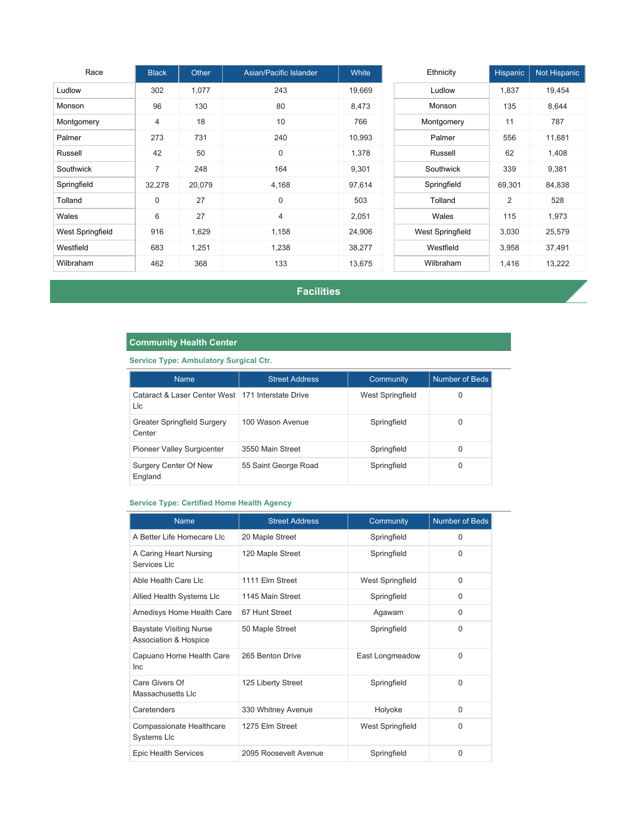| Race             | <b>Black</b>   | Other  | Asian/Pacific Islander | <b>White</b> | Ethnicity               | Hispanic       | Not Hispanic |
|------------------|----------------|--------|------------------------|--------------|-------------------------|----------------|--------------|
| Ludlow           | 302            | 1,077  | 243                    | 19,669       | Ludlow                  | 1,837          | 19,454       |
| Monson           | 96             | 130    | 80                     | 8,473        | Monson                  | 135            | 8,644        |
| Montgomery       | $\overline{4}$ | 18     | 10                     | 766          | Montgomery              | 11             | 787          |
| Palmer           | 273            | 731    | 240                    | 10,993       | Palmer                  | 556            | 11,681       |
| Russell          | 42             | 50     | $\mathbf 0$            | 1,378        | Russell                 | 62             | 1,408        |
| Southwick        | $\overline{7}$ | 248    | 164                    | 9,301        | Southwick               | 339            | 9,381        |
| Springfield      | 32,278         | 20,079 | 4,168                  | 97,614       | Springfield             | 69,301         | 84,838       |
| Tolland          | $\mathsf 0$    | 27     | 0                      | 503          | Tolland                 | $\overline{2}$ | 528          |
| Wales            | 6              | 27     | $\overline{4}$         | 2,051        | Wales                   | 115            | 1,973        |
| West Springfield | 916            | 1,629  | 1,158                  | 24,906       | <b>West Springfield</b> | 3,030          | 25,579       |
| Westfield        | 683            | 1,251  | 1,238                  | 38,277       | Westfield               | 3,958          | 37,491       |
| Wilbraham        | 462            | 368    | 133                    | 13,675       | Wilbraham               | 1,416          | 13,222       |

**Facilities**

## **Community Health Center**

## **Service Type: Ambulatory Surgical Ctr.**

| <b>Name</b>                                                | <b>Street Address</b> | <b>Community</b> | Number of Beds |
|------------------------------------------------------------|-----------------------|------------------|----------------|
| Cataract & Laser Center West   171 Interstate Drive<br>Llc |                       | West Springfield | 0              |
| Greater Springfield Surgery<br>Center                      | 100 Wason Avenue      | Springfield      | 0              |
| <b>Pioneer Valley Surgicenter</b>                          | 3550 Main Street      | Springfield      | 0              |
| Surgery Center Of New<br>England                           | 55 Saint George Road  | Springfield      | 0              |

### **Service Type: Certified Home Health Agency**

| <b>Name</b>                                             | <b>Street Address</b> | Community               | <b>Number of Beds</b> |
|---------------------------------------------------------|-----------------------|-------------------------|-----------------------|
| A Better Life Homecare LIc                              | 20 Maple Street       | Springfield             | 0                     |
| A Caring Heart Nursing<br>Services I Ic                 | 120 Maple Street      | Springfield             | $\Omega$              |
| Able Health Care Lic                                    | 1111 Elm Street       | <b>West Springfield</b> | $\Omega$              |
| Allied Health Systems Llc                               | 1145 Main Street      | Springfield             | 0                     |
| Amedisys Home Health Care                               | 67 Hunt Street        | Agawam                  | $\Omega$              |
| <b>Baystate Visiting Nurse</b><br>Association & Hospice | 50 Maple Street       | Springfield             | 0                     |
| Capuano Home Health Care<br><b>Inc</b>                  | 265 Benton Drive      | East Longmeadow         | 0                     |
| Care Givers Of<br>Massachusetts LIc                     | 125 Liberty Street    | Springfield             | 0                     |
| Caretenders                                             | 330 Whitney Avenue    | Holyoke                 | 0                     |
| Compassionate Healthcare<br><b>Systems LIc</b>          | 1275 Elm Street       | <b>West Springfield</b> | 0                     |
| <b>Epic Health Services</b>                             | 2095 Roosevelt Avenue | Springfield             | 0                     |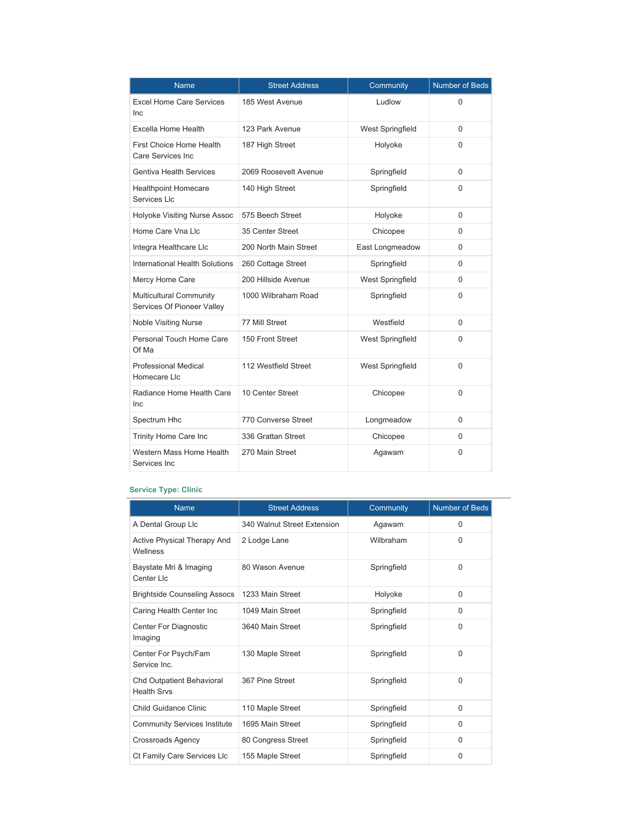| <b>Name</b>                                                  | <b>Street Address</b> | Community               | <b>Number of Beds</b> |
|--------------------------------------------------------------|-----------------------|-------------------------|-----------------------|
| <b>Excel Home Care Services</b><br><b>Inc</b>                | 185 West Avenue       | Ludlow                  | 0                     |
| <b>Excella Home Health</b>                                   | 123 Park Avenue       | <b>West Springfield</b> | 0                     |
| First Choice Home Health<br>Care Services Inc.               | 187 High Street       | Holyoke                 | 0                     |
| <b>Gentiva Health Services</b>                               | 2069 Roosevelt Avenue | Springfield             | 0                     |
| <b>Healthpoint Homecare</b><br>Services Llc                  | 140 High Street       | Springfield             | 0                     |
| Holyoke Visiting Nurse Assoc                                 | 575 Beech Street      | Holyoke                 | $\Omega$              |
| Home Care Vna Llc                                            | 35 Center Street      | Chicopee                | 0                     |
| Integra Healthcare Llc                                       | 200 North Main Street | East Longmeadow         | 0                     |
| International Health Solutions                               | 260 Cottage Street    | Springfield             | 0                     |
| Mercy Home Care                                              | 200 Hillside Avenue   | <b>West Springfield</b> | $\Omega$              |
| <b>Multicultural Community</b><br>Services Of Pioneer Valley | 1000 Wilbraham Road   | Springfield             | $\Omega$              |
| <b>Noble Visiting Nurse</b>                                  | 77 Mill Street        | Westfield               | $\Omega$              |
| Personal Touch Home Care<br>Of Ma                            | 150 Front Street      | <b>West Springfield</b> | 0                     |
| <b>Professional Medical</b><br>Homecare Llc                  | 112 Westfield Street  | <b>West Springfield</b> | $\Omega$              |
| Radiance Home Health Care<br>Inc                             | 10 Center Street      | Chicopee                | $\Omega$              |
| Spectrum Hhc                                                 | 770 Converse Street   | Longmeadow              | 0                     |
| Trinity Home Care Inc                                        | 336 Grattan Street    | Chicopee                | 0                     |
| Western Mass Home Health<br>Services Inc                     | 270 Main Street       | Agawam                  | 0                     |

## **Service Type: Clinic**

| <b>Name</b>                                     | <b>Street Address</b>       | Community   | <b>Number of Beds</b> |
|-------------------------------------------------|-----------------------------|-------------|-----------------------|
| A Dental Group Llc                              | 340 Walnut Street Extension | Agawam      | $\Omega$              |
| Active Physical Therapy And<br>Wellness         | 2 Lodge Lane                | Wilbraham   | 0                     |
| Baystate Mri & Imaging<br>Center Llc            | 80 Wason Avenue             | Springfield | 0                     |
| <b>Brightside Counseling Assocs</b>             | 1233 Main Street            | Holyoke     | $\Omega$              |
| Caring Health Center Inc                        | 1049 Main Street            | Springfield | 0                     |
| Center For Diagnostic<br>Imaging                | 3640 Main Street            | Springfield | $\Omega$              |
| Center For Psych/Fam<br>Service Inc.            | 130 Maple Street            | Springfield | 0                     |
| Chd Outpatient Behavioral<br><b>Health Srvs</b> | 367 Pine Street             | Springfield | 0                     |
| <b>Child Guidance Clinic</b>                    | 110 Maple Street            | Springfield | $\Omega$              |
| <b>Community Services Institute</b>             | 1695 Main Street            | Springfield | 0                     |
| <b>Crossroads Agency</b>                        | 80 Congress Street          | Springfield | $\Omega$              |
| Ct Family Care Services Llc                     | 155 Maple Street            | Springfield | 0                     |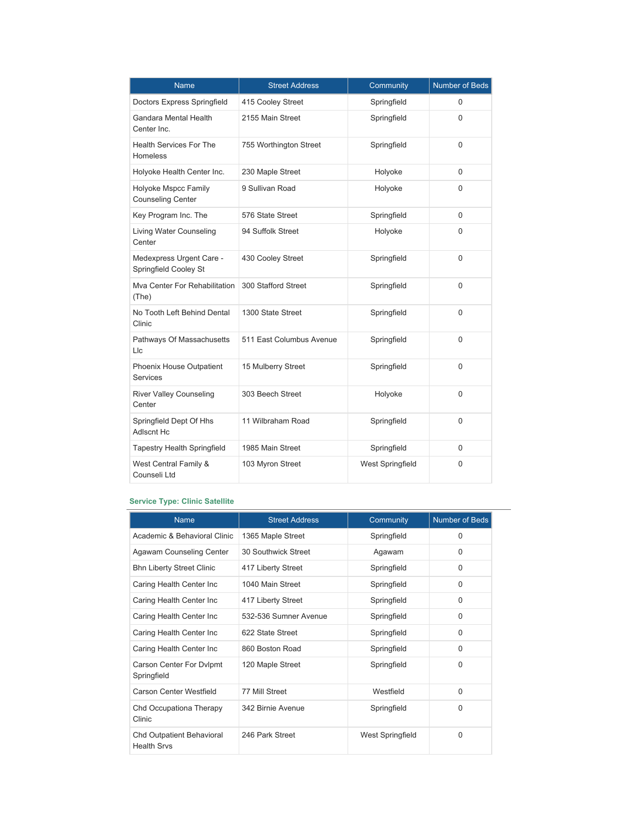| <b>Name</b>                                       | <b>Street Address</b>    | Community               | <b>Number of Beds</b> |
|---------------------------------------------------|--------------------------|-------------------------|-----------------------|
| Doctors Express Springfield                       | 415 Cooley Street        | Springfield             | 0                     |
| Gandara Mental Health<br>Center Inc.              | 2155 Main Street         | Springfield             | 0                     |
| <b>Health Services For The</b><br><b>Homeless</b> | 755 Worthington Street   | Springfield             | 0                     |
| Holyoke Health Center Inc.                        | 230 Maple Street         | Holyoke                 | $\Omega$              |
| Holyoke Mspcc Family<br><b>Counseling Center</b>  | 9 Sullivan Road          | Holyoke                 | $\Omega$              |
| Key Program Inc. The                              | 576 State Street         | Springfield             | $\Omega$              |
| <b>Living Water Counseling</b><br>Center          | 94 Suffolk Street        | Holyoke                 | $\Omega$              |
| Medexpress Urgent Care -<br>Springfield Cooley St | 430 Cooley Street        | Springfield             | $\Omega$              |
| Mva Center For Rehabilitation<br>(The)            | 300 Stafford Street      | Springfield             | $\Omega$              |
| No Tooth Left Behind Dental<br>Clinic             | 1300 State Street        | Springfield             | $\Omega$              |
| Pathways Of Massachusetts<br>Llc                  | 511 East Columbus Avenue | Springfield             | $\Omega$              |
| Phoenix House Outpatient<br><b>Services</b>       | 15 Mulberry Street       | Springfield             | $\Omega$              |
| <b>River Valley Counseling</b><br>Center          | 303 Beech Street         | Holyoke                 | $\Omega$              |
| Springfield Dept Of Hhs<br><b>Adlscnt Hc</b>      | 11 Wilbraham Road        | Springfield             | 0                     |
| <b>Tapestry Health Springfield</b>                | 1985 Main Street         | Springfield             | 0                     |
| West Central Family &<br>Counseli Ltd             | 103 Myron Street         | <b>West Springfield</b> | 0                     |

### **Service Type: Clinic Satellite**

| <b>Name</b>                                            | <b>Street Address</b> | Community        | Number of Beds |
|--------------------------------------------------------|-----------------------|------------------|----------------|
| Academic & Behavioral Clinic                           | 1365 Maple Street     | Springfield      | $\Omega$       |
| Agawam Counseling Center                               | 30 Southwick Street   | Agawam           | $\Omega$       |
| <b>Bhn Liberty Street Clinic</b>                       | 417 Liberty Street    | Springfield      | 0              |
| Caring Health Center Inc                               | 1040 Main Street      | Springfield      | $\Omega$       |
| Caring Health Center Inc                               | 417 Liberty Street    | Springfield      | $\Omega$       |
| Caring Health Center Inc                               | 532-536 Sumner Avenue | Springfield      | $\Omega$       |
| Caring Health Center Inc                               | 622 State Street      | Springfield      | $\Omega$       |
| Caring Health Center Inc                               | 860 Boston Road       | Springfield      | $\Omega$       |
| Carson Center For Dvlpmt<br>Springfield                | 120 Maple Street      | Springfield      | 0              |
| Carson Center Westfield                                | 77 Mill Street        | Westfield        | $\Omega$       |
| Chd Occupationa Therapy<br>Clinic                      | 342 Birnie Avenue     | Springfield      | $\Omega$       |
| <b>Chd Outpatient Behavioral</b><br><b>Health Srvs</b> | 246 Park Street       | West Springfield | $\Omega$       |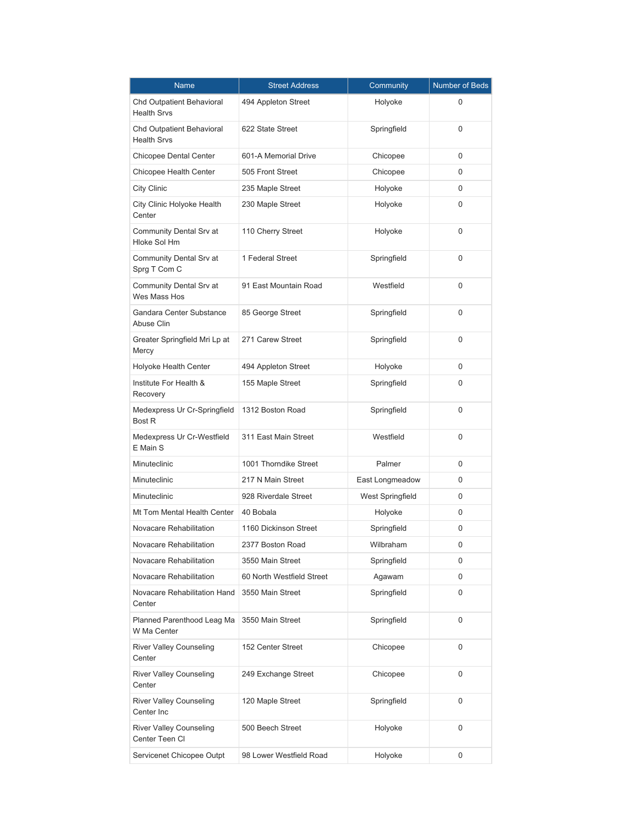| Name                                             | <b>Street Address</b>     | Community        | Number of Beds |
|--------------------------------------------------|---------------------------|------------------|----------------|
| Chd Outpatient Behavioral<br><b>Health Srvs</b>  | 494 Appleton Street       | Holyoke          | 0              |
| Chd Outpatient Behavioral<br><b>Health Srvs</b>  | 622 State Street          | Springfield      | 0              |
| <b>Chicopee Dental Center</b>                    | 601-A Memorial Drive      | Chicopee         | 0              |
| Chicopee Health Center                           | 505 Front Street          | Chicopee         | 0              |
| City Clinic                                      | 235 Maple Street          | Holyoke          | 0              |
| City Clinic Holyoke Health<br>Center             | 230 Maple Street          | Holyoke          | 0              |
| Community Dental Srv at<br><b>Hloke Sol Hm</b>   | 110 Cherry Street         | Holyoke          | 0              |
| Community Dental Srv at<br>Sprg T Com C          | 1 Federal Street          | Springfield      | 0              |
| Community Dental Srv at<br>Wes Mass Hos          | 91 East Mountain Road     | Westfield        | 0              |
| Gandara Center Substance<br>Abuse Clin           | 85 George Street          | Springfield      | 0              |
| Greater Springfield Mri Lp at<br>Mercy           | 271 Carew Street          | Springfield      | 0              |
| Holyoke Health Center                            | 494 Appleton Street       | Holyoke          | 0              |
| Institute For Health &<br>Recovery               | 155 Maple Street          | Springfield      | 0              |
| Medexpress Ur Cr-Springfield<br><b>Bost R</b>    | 1312 Boston Road          | Springfield      | 0              |
| Medexpress Ur Cr-Westfield<br>E Main S           | 311 East Main Street      | Westfield        | 0              |
| Minuteclinic                                     | 1001 Thorndike Street     | Palmer           | 0              |
| Minuteclinic                                     | 217 N Main Street         | East Longmeadow  | 0              |
| Minuteclinic                                     | 928 Riverdale Street      | West Springfield | 0              |
| Mt Tom Mental Health Center                      | 40 Bobala                 | Holyoke          | 0              |
| Novacare Rehabilitation                          | 1160 Dickinson Street     | Springfield      | 0              |
| Novacare Rehabilitation                          | 2377 Boston Road          | Wilbraham        | 0              |
| Novacare Rehabilitation                          | 3550 Main Street          | Springfield      | 0              |
| Novacare Rehabilitation                          | 60 North Westfield Street | Agawam           | 0              |
| Novacare Rehabilitation Hand<br>Center           | 3550 Main Street          | Springfield      | 0              |
| Planned Parenthood Leag Ma<br>W Ma Center        | 3550 Main Street          | Springfield      | 0              |
| <b>River Valley Counseling</b><br>Center         | 152 Center Street         | Chicopee         | 0              |
| <b>River Valley Counseling</b><br>Center         | 249 Exchange Street       | Chicopee         | 0              |
| <b>River Valley Counseling</b><br>Center Inc     | 120 Maple Street          | Springfield      | 0              |
| <b>River Valley Counseling</b><br>Center Teen CI | 500 Beech Street          | Holyoke          | 0              |
| Servicenet Chicopee Outpt                        | 98 Lower Westfield Road   | Holyoke          | 0              |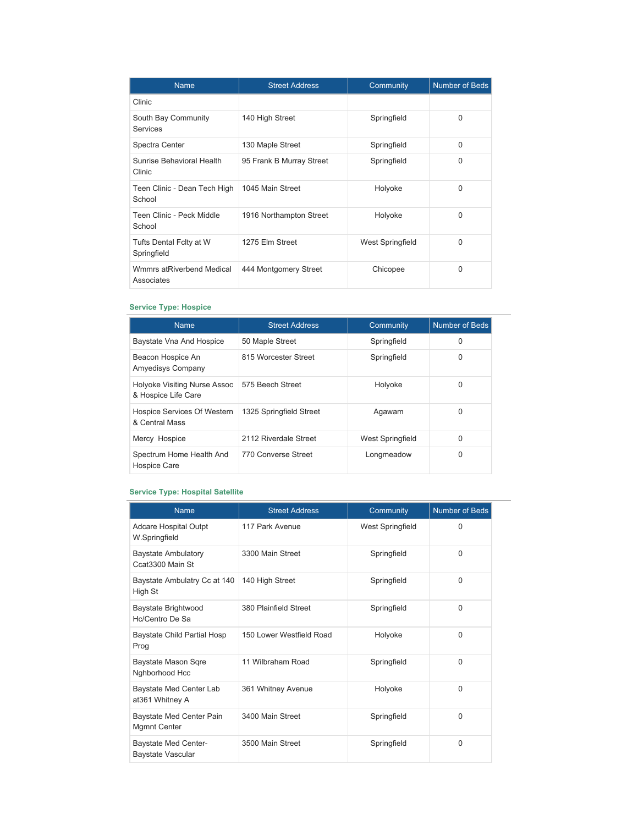| <b>Name</b>                             | <b>Street Address</b>    | Community        | <b>Number of Beds</b> |
|-----------------------------------------|--------------------------|------------------|-----------------------|
| Clinic                                  |                          |                  |                       |
| South Bay Community<br>Services         | 140 High Street          | Springfield      | 0                     |
| Spectra Center                          | 130 Maple Street         | Springfield      | 0                     |
| Sunrise Behavioral Health<br>Clinic     | 95 Frank B Murray Street | Springfield      | 0                     |
| Teen Clinic - Dean Tech High<br>School  | 1045 Main Street         | Holyoke          | 0                     |
| Teen Clinic - Peck Middle<br>School     | 1916 Northampton Street  | Holyoke          | 0                     |
| Tufts Dental Fclty at W<br>Springfield  | 1275 Elm Street          | West Springfield | O                     |
| Wmmrs atRiverbend Medical<br>Associates | 444 Montgomery Street    | Chicopee         | 0                     |

### **Service Type: Hospice**

| <b>Name</b>                                         | <b>Street Address</b>   | Community        | Number of Beds |
|-----------------------------------------------------|-------------------------|------------------|----------------|
| Baystate Vna And Hospice                            | 50 Maple Street         | Springfield      | 0              |
| Beacon Hospice An<br><b>Amyedisys Company</b>       | 815 Worcester Street    | Springfield<br>0 |                |
| Holyoke Visiting Nurse Assoc<br>& Hospice Life Care | 575 Beech Street        | Holyoke          | 0              |
| Hospice Services Of Western<br>& Central Mass       | 1325 Springfield Street | Agawam           | 0              |
| Mercy Hospice                                       | 2112 Riverdale Street   | West Springfield | $\Omega$       |
| Spectrum Home Health And<br><b>Hospice Care</b>     | 770 Converse Street     | Longmeadow       | 0              |

## **Service Type: Hospital Satellite**

| <b>Name</b>                                      | <b>Street Address</b>    | Community        | <b>Number of Beds</b> |
|--------------------------------------------------|--------------------------|------------------|-----------------------|
| Adcare Hospital Outpt<br>W.Springfield           | 117 Park Avenue          | West Springfield | $\Omega$              |
| <b>Baystate Ambulatory</b><br>Ccat3300 Main St   | 3300 Main Street         | Springfield      | $\Omega$              |
| Baystate Ambulatry Cc at 140<br>High St          | 140 High Street          | Springfield      | $\Omega$              |
| Baystate Brightwood<br>Hc/Centro De Sa           | 380 Plainfield Street    | Springfield      | $\Omega$              |
| <b>Baystate Child Partial Hosp</b><br>Prog       | 150 Lower Westfield Road | Holyoke          | $\Omega$              |
| Baystate Mason Sqre<br>Nghborhood Hcc            | 11 Wilbraham Road        | Springfield      | 0                     |
| Baystate Med Center Lab<br>at361 Whitney A       | 361 Whitney Avenue       | Holyoke          | $\Omega$              |
| Baystate Med Center Pain<br><b>Mgmnt Center</b>  | 3400 Main Street         | Springfield      | $\Omega$              |
| <b>Baystate Med Center-</b><br>Baystate Vascular | 3500 Main Street         | Springfield      | $\mathbf 0$           |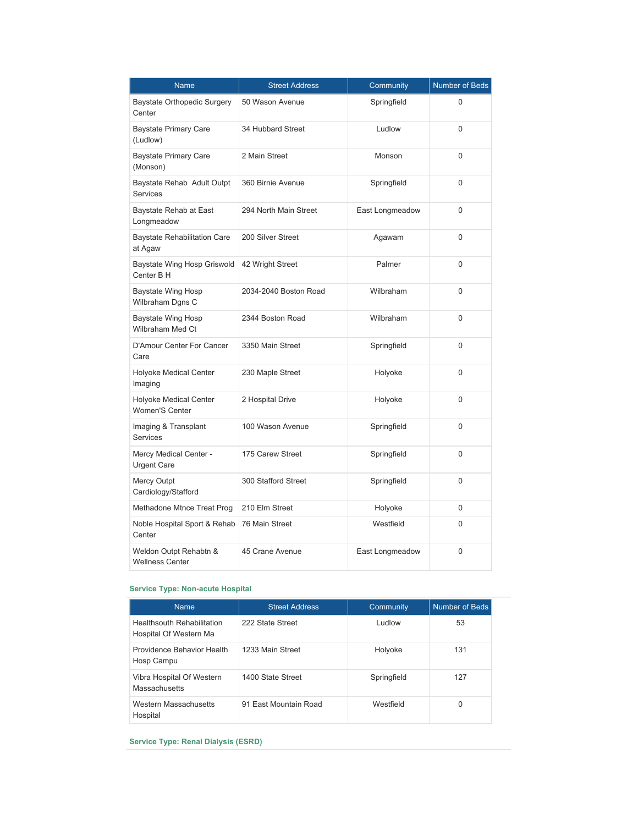| Name                                                   | <b>Street Address</b> | Community       | <b>Number of Beds</b> |
|--------------------------------------------------------|-----------------------|-----------------|-----------------------|
| Baystate Orthopedic Surgery<br>Center                  | 50 Wason Avenue       | Springfield     | $\Omega$              |
| <b>Baystate Primary Care</b><br>(Ludlow)               | 34 Hubbard Street     | Ludlow          | $\Omega$              |
| <b>Baystate Primary Care</b><br>(Monson)               | 2 Main Street         | Monson          | 0                     |
| Baystate Rehab Adult Outpt<br><b>Services</b>          | 360 Birnie Avenue     | Springfield     | $\Omega$              |
| Baystate Rehab at East<br>Longmeadow                   | 294 North Main Street | East Longmeadow | $\Omega$              |
| <b>Baystate Rehabilitation Care</b><br>at Agaw         | 200 Silver Street     | Agawam          | 0                     |
| Baystate Wing Hosp Griswold<br>Center B H              | 42 Wright Street      | Palmer          | $\Omega$              |
| Baystate Wing Hosp<br>Wilbraham Dgns C                 | 2034-2040 Boston Road | Wilbraham       | $\Omega$              |
| Baystate Wing Hosp<br>Wilbraham Med Ct                 | 2344 Boston Road      | Wilbraham       | $\Omega$              |
| D'Amour Center For Cancer<br>Care                      | 3350 Main Street      | Springfield     | $\Omega$              |
| <b>Holyoke Medical Center</b><br>Imaging               | 230 Maple Street      | Holyoke         | 0                     |
| <b>Holyoke Medical Center</b><br><b>Women'S Center</b> | 2 Hospital Drive      | Holyoke         | 0                     |
| Imaging & Transplant<br><b>Services</b>                | 100 Wason Avenue      | Springfield     | $\Omega$              |
| Mercy Medical Center -<br><b>Urgent Care</b>           | 175 Carew Street      | Springfield     | 0                     |
| <b>Mercy Outpt</b><br>Cardiology/Stafford              | 300 Stafford Street   | Springfield     | 0                     |
| Methadone Mtnce Treat Prog                             | 210 Elm Street        | Holyoke         | 0                     |
| Noble Hospital Sport & Rehab<br>Center                 | 76 Main Street        | Westfield       | 0                     |
| Weldon Outpt Rehabtn &<br><b>Wellness Center</b>       | 45 Crane Avenue       | East Longmeadow | 0                     |

### **Service Type: Non-acute Hospital**

| <b>Name</b>                                          | <b>Street Address</b> | Community     | Number of Beds |
|------------------------------------------------------|-----------------------|---------------|----------------|
| Healthsouth Rehabilitation<br>Hospital Of Western Ma | 222 State Street      | <b>Ludlow</b> | 53             |
| Providence Behavior Health<br>Hosp Campu             | 1233 Main Street      | Holyoke       | 131            |
| Vibra Hospital Of Western<br>Massachusetts           | 1400 State Street     | Springfield   | 127            |
| Western Massachusetts<br>Hospital                    | 91 Fast Mountain Road | Westfield     | 0              |

**Service Type: Renal Dialysis (ESRD)**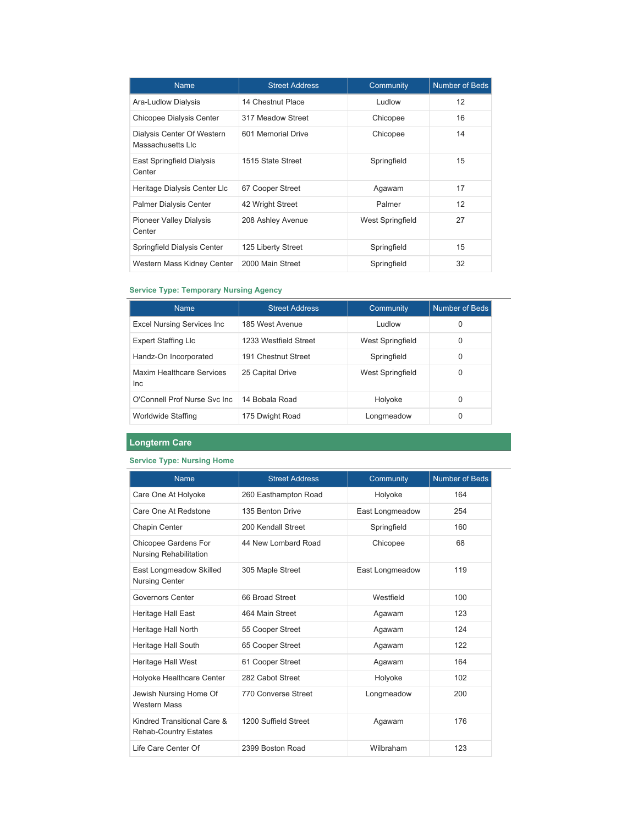| <b>Name</b>                                     | <b>Street Address</b> | Community        | <b>Number of Beds</b> |
|-------------------------------------------------|-----------------------|------------------|-----------------------|
| Ara-Ludlow Dialysis                             | 14 Chestnut Place     | Ludlow           | 12                    |
| Chicopee Dialysis Center                        | 317 Meadow Street     | Chicopee         | 16                    |
| Dialysis Center Of Western<br>Massachusetts Llc | 601 Memorial Drive    | Chicopee         | 14                    |
| East Springfield Dialysis<br>Center             | 1515 State Street     | Springfield      | 15                    |
| Heritage Dialysis Center Llc                    | 67 Cooper Street      | Agawam           | 17                    |
| <b>Palmer Dialysis Center</b>                   | 42 Wright Street      | Palmer           | 12                    |
| <b>Pioneer Valley Dialysis</b><br>Center        | 208 Ashley Avenue     | West Springfield | 27                    |
| Springfield Dialysis Center                     | 125 Liberty Street    | Springfield      | 15                    |
| Western Mass Kidney Center                      | 2000 Main Street      | Springfield      | 32                    |

### **Service Type: Temporary Nursing Agency**

| <b>Name</b>                             | <b>Street Address</b> | Community        | Number of Beds |
|-----------------------------------------|-----------------------|------------------|----------------|
| <b>Excel Nursing Services Inc.</b>      | 185 West Avenue       | <b>Ludlow</b>    | 0              |
| <b>Expert Staffing Llc</b>              | 1233 Westfield Street | West Springfield | 0              |
| Handz-On Incorporated                   | 191 Chestnut Street   | Springfield      | 0              |
| Maxim Healthcare Services<br><b>Inc</b> | 25 Capital Drive      | West Springfield | 0              |
| O'Connell Prof Nurse Syc Inc.           | 14 Bobala Road        | Holyoke          | 0              |
| Worldwide Staffing                      | 175 Dwight Road       | Longmeadow       | 0              |

## **Longterm Care**

## **Service Type: Nursing Home**

| <b>Name</b>                                                 | <b>Street Address</b> | Community       | <b>Number of Beds</b> |
|-------------------------------------------------------------|-----------------------|-----------------|-----------------------|
| Care One At Holyoke                                         | 260 Easthampton Road  | Holyoke         | 164                   |
| Care One At Redstone                                        | 135 Benton Drive      | East Longmeadow | 254                   |
| Chapin Center                                               | 200 Kendall Street    | Springfield     | 160                   |
| Chicopee Gardens For<br>Nursing Rehabilitation              | 44 New Lombard Road   | Chicopee        | 68                    |
| East Longmeadow Skilled<br><b>Nursing Center</b>            | 305 Maple Street      | East Longmeadow | 119                   |
| Governors Center                                            | 66 Broad Street       | Westfield       | 100                   |
| Heritage Hall East                                          | 464 Main Street       | Agawam          | 123                   |
| Heritage Hall North                                         | 55 Cooper Street      | Agawam          | 124                   |
| Heritage Hall South                                         | 65 Cooper Street      | Agawam          | 122                   |
| Heritage Hall West                                          | 61 Cooper Street      | Agawam          | 164                   |
| Holyoke Healthcare Center                                   | 282 Cabot Street      | Holyoke         | 102                   |
| Jewish Nursing Home Of<br><b>Western Mass</b>               | 770 Converse Street   | Longmeadow      | 200                   |
| Kindred Transitional Care &<br><b>Rehab-Country Estates</b> | 1200 Suffield Street  | Agawam          | 176                   |
| Life Care Center Of                                         | 2399 Boston Road      | Wilbraham       | 123                   |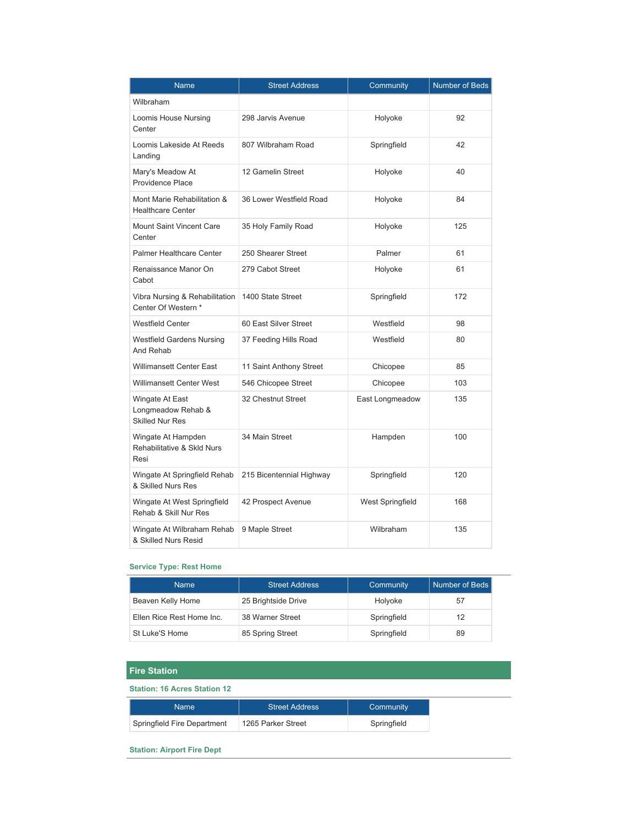| <b>Name</b>                                                     | <b>Street Address</b>    | Community        | <b>Number of Beds</b> |
|-----------------------------------------------------------------|--------------------------|------------------|-----------------------|
| Wilbraham                                                       |                          |                  |                       |
| Loomis House Nursing<br>Center                                  | 298 Jarvis Avenue        | Holyoke          | 92                    |
| Loomis Lakeside At Reeds<br>Landing                             | 807 Wilbraham Road       | Springfield      | 42                    |
| Mary's Meadow At<br><b>Providence Place</b>                     | 12 Gamelin Street        | Holyoke          | 40                    |
| Mont Marie Rehabilitation &<br><b>Healthcare Center</b>         | 36 Lower Westfield Road  | Holyoke          | 84                    |
| <b>Mount Saint Vincent Care</b><br>Center                       | 35 Holy Family Road      | Holyoke          | 125                   |
| <b>Palmer Healthcare Center</b>                                 | 250 Shearer Street       | Palmer           | 61                    |
| Renaissance Manor On<br>Cabot                                   | 279 Cabot Street         | Holyoke          | 61                    |
| Vibra Nursing & Rehabilitation<br>Center Of Western *           | 1400 State Street        | Springfield      | 172                   |
| <b>Westfield Center</b>                                         | 60 East Silver Street    | Westfield        | 98                    |
| <b>Westfield Gardens Nursing</b><br>And Rehab                   | 37 Feeding Hills Road    | Westfield        | 80                    |
| <b>Willimansett Center East</b>                                 | 11 Saint Anthony Street  | Chicopee         | 85                    |
| <b>Willimansett Center West</b>                                 | 546 Chicopee Street      | Chicopee         | 103                   |
| Wingate At East<br>Longmeadow Rehab &<br><b>Skilled Nur Res</b> | 32 Chestnut Street       | East Longmeadow  | 135                   |
| Wingate At Hampden<br>Rehabilitative & Skld Nurs<br>Resi        | 34 Main Street           | Hampden          | 100                   |
| Wingate At Springfield Rehab<br>& Skilled Nurs Res              | 215 Bicentennial Highway | Springfield      | 120                   |
| Wingate At West Springfield<br>Rehab & Skill Nur Res            | 42 Prospect Avenue       | West Springfield | 168                   |
| Wingate At Wilbraham Rehab<br>& Skilled Nurs Resid              | 9 Maple Street           | Wilbraham        | 135                   |

### **Service Type: Rest Home**

| <b>Name</b>               | <b>Street Address</b> | Community   | Number of Beds |
|---------------------------|-----------------------|-------------|----------------|
| Beaven Kelly Home         | 25 Brightside Drive   | Holvoke     | 57             |
| Ellen Rice Rest Home Inc. | 38 Warner Street      | Springfield | 12             |
| St Luke'S Home            | 85 Spring Street      | Springfield | 89             |

## **Fire Station**

### **Station: 16 Acres Station 12**

| Name                        | Street Address     | Community   |
|-----------------------------|--------------------|-------------|
| Springfield Fire Department | 1265 Parker Street | Springfield |

### **Station: Airport Fire Dept**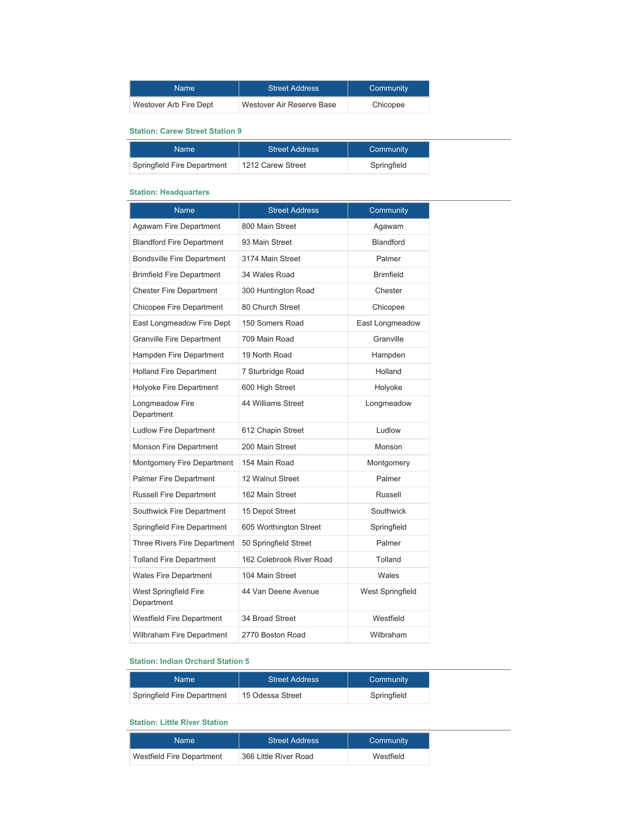| Name:                  | <b>Street Address</b>     | Community |
|------------------------|---------------------------|-----------|
| Westover Arb Fire Dept | Westover Air Reserve Base | Chicopee  |

# **Station: Carew Street Station 9**

| Name                        | <b>Street Address</b> | Community   |
|-----------------------------|-----------------------|-------------|
| Springfield Fire Department | 1212 Carew Street     | Springfield |

### **Station: Headquarters**

| Name                                | <b>Street Address</b>    | Community        |
|-------------------------------------|--------------------------|------------------|
| Agawam Fire Department              | 800 Main Street          | Agawam           |
| <b>Blandford Fire Department</b>    | 93 Main Street           | <b>Blandford</b> |
| <b>Bondsville Fire Department</b>   | 3174 Main Street         | Palmer           |
| <b>Brimfield Fire Department</b>    | 34 Wales Road            | <b>Brimfield</b> |
| <b>Chester Fire Department</b>      | 300 Huntington Road      | Chester          |
| Chicopee Fire Department            | 80 Church Street         | Chicopee         |
| East Longmeadow Fire Dept           | 150 Somers Road          | East Longmeadow  |
| <b>Granville Fire Department</b>    | 709 Main Road            | Granville        |
| Hampden Fire Department             | 19 North Road            | Hampden          |
| <b>Holland Fire Department</b>      | 7 Sturbridge Road        | Holland          |
| Holyoke Fire Department             | 600 High Street          | Holyoke          |
| Longmeadow Fire<br>Department       | 44 Williams Street       | Longmeadow       |
| <b>Ludlow Fire Department</b>       | 612 Chapin Street        | Ludlow           |
| Monson Fire Department              | 200 Main Street          | Monson           |
| Montgomery Fire Department          | 154 Main Road            | Montgomery       |
| <b>Palmer Fire Department</b>       | 12 Walnut Street         | Palmer           |
| <b>Russell Fire Department</b>      | 162 Main Street          | Russell          |
| Southwick Fire Department           | 15 Depot Street          | Southwick        |
| Springfield Fire Department         | 605 Worthington Street   | Springfield      |
| Three Rivers Fire Department        | 50 Springfield Street    | Palmer           |
| <b>Tolland Fire Department</b>      | 162 Colebrook River Road | Tolland          |
| <b>Wales Fire Department</b>        | 104 Main Street          | Wales            |
| West Springfield Fire<br>Department | 44 Van Deene Avenue      | West Springfield |
| Westfield Fire Department           | 34 Broad Street          | Westfield        |
| <b>Wilbraham Fire Department</b>    | 2770 Boston Road         | <b>Wilbraham</b> |
|                                     |                          |                  |

### **Station: Indian Orchard Station 5**

| Name                        | <b>Street Address</b> | Community   |
|-----------------------------|-----------------------|-------------|
| Springfield Fire Department | 15 Odessa Street      | Springfield |

### **Station: Little River Station**

| Name                      | <b>Street Address</b> | Community |
|---------------------------|-----------------------|-----------|
| Westfield Fire Department | 366 Little River Road | Westfield |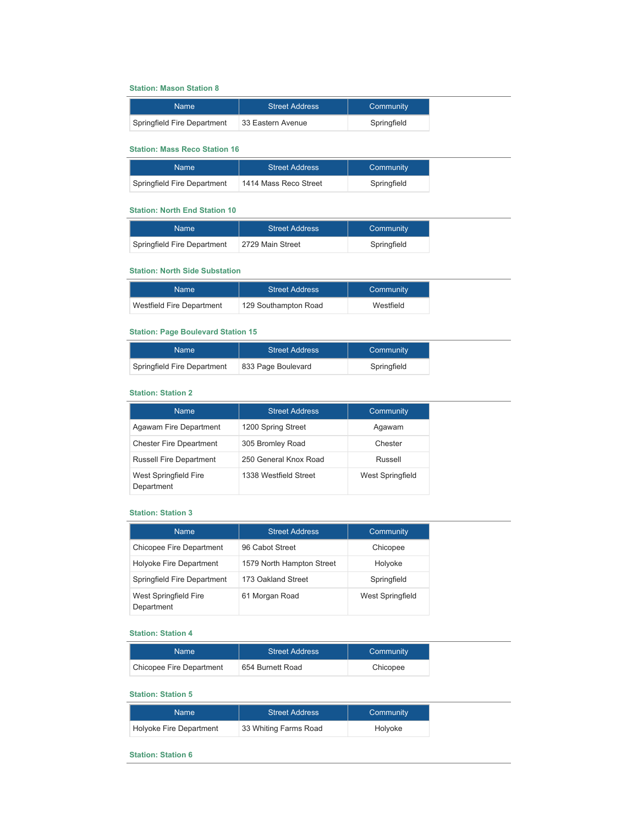#### **Station: Mason Station 8**

| Name                        | <b>Street Address</b> | Community   |
|-----------------------------|-----------------------|-------------|
| Springfield Fire Department | 33 Eastern Avenue     | Springfield |

### **Station: Mass Reco Station 16**

| Name:                       | <b>Street Address</b> | Community   |
|-----------------------------|-----------------------|-------------|
| Springfield Fire Department | 1414 Mass Reco Street | Springfield |

### **Station: North End Station 10**

| Name                        | <b>Street Address</b> | Community   |
|-----------------------------|-----------------------|-------------|
| Springfield Fire Department | 2729 Main Street      | Springfield |

### **Station: North Side Substation**

| Name:                     | <b>Street Address</b> | Community |
|---------------------------|-----------------------|-----------|
| Westfield Fire Department | 129 Southampton Road  | Westfield |

### **Station: Page Boulevard Station 15**

| Name:                       | <b>Street Address</b> | Community   |
|-----------------------------|-----------------------|-------------|
| Springfield Fire Department | 833 Page Boulevard    | Springfield |

#### **Station: Station 2**

| <b>Name</b>                         | <b>Street Address</b> | Community        |
|-------------------------------------|-----------------------|------------------|
| Agawam Fire Department              | 1200 Spring Street    | Agawam           |
| <b>Chester Fire Dpeartment</b>      | 305 Bromley Road      | Chester          |
| <b>Russell Fire Department</b>      | 250 General Knox Road | Russell          |
| West Springfield Fire<br>Department | 1338 Westfield Street | West Springfield |

### **Station: Station 3**

| <b>Name</b>                         | <b>Street Address</b>     | <b>Community</b> |
|-------------------------------------|---------------------------|------------------|
| Chicopee Fire Department            | 96 Cabot Street           | Chicopee         |
| Holyoke Fire Department             | 1579 North Hampton Street | Holyoke          |
| Springfield Fire Department         | 173 Oakland Street        | Springfield      |
| West Springfield Fire<br>Department | 61 Morgan Road            | West Springfield |

#### **Station: Station 4**

| Namel                    | <b>Street Address</b> | Community |
|--------------------------|-----------------------|-----------|
| Chicopee Fire Department | 654 Burnett Road      | Chicopee  |

### **Station: Station 5**

| Name                    | <b>Street Address</b>  | Community |
|-------------------------|------------------------|-----------|
| Holyoke Fire Department | └33 Whiting Farms Road | Holyoke   |

 $\overline{\phantom{0}}$ 

### **Station: Station 6**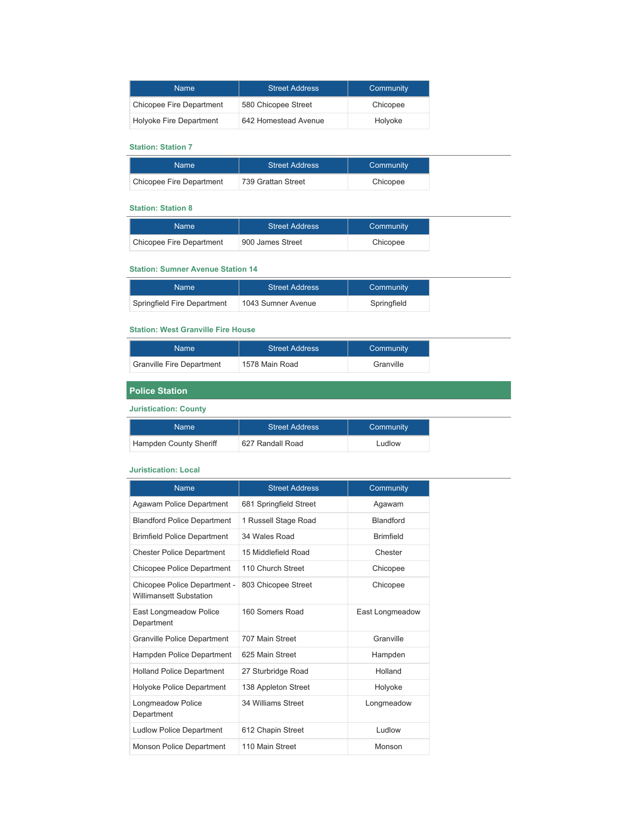| <b>Name</b>              | <b>Street Address</b> | Community |
|--------------------------|-----------------------|-----------|
| Chicopee Fire Department | 580 Chicopee Street   | Chicopee  |
| Holyoke Fire Department  | 642 Homestead Avenue  | Holyoke   |

### **Station: Station 7**

| Namel                    | <b>Street Address</b> | Community |
|--------------------------|-----------------------|-----------|
| Chicopee Fire Department | 739 Grattan Street    | Chicopee  |

# **Station: Station 8**

| <b>Name</b>              | <b>Street Address</b> | Community |
|--------------------------|-----------------------|-----------|
| Chicopee Fire Department | 900 James Street      | Chicopee  |

### **Station: Sumner Avenue Station 14**

| Name:                       | <b>Street Address</b> | Community   |
|-----------------------------|-----------------------|-------------|
| Springfield Fire Department | 1043 Sumner Avenue    | Springfield |

### **Station: West Granville Fire House**

| <b>Name</b>                      | <b>Street Address</b> | Community |
|----------------------------------|-----------------------|-----------|
| <b>Granville Fire Department</b> | 1578 Main Road        | Granville |

# **Police Station**

### **Juristication: County**

| Name                   | <b>Street Address</b> | Community |
|------------------------|-----------------------|-----------|
| Hampden County Sheriff | 627 Randall Road      | Ludlow    |

### **Juristication: Local**

| <b>Name</b>                                                    | <b>Street Address</b>  | Community        |
|----------------------------------------------------------------|------------------------|------------------|
| Agawam Police Department                                       | 681 Springfield Street | Agawam           |
| <b>Blandford Police Department</b>                             | 1 Russell Stage Road   | <b>Blandford</b> |
| <b>Brimfield Police Department</b>                             | 34 Wales Road          | <b>Brimfield</b> |
| <b>Chester Police Department</b>                               | 15 Middlefield Road    | Chester          |
| Chicopee Police Department                                     | 110 Church Street      | Chicopee         |
| Chicopee Police Department -<br><b>Willimansett Substation</b> | 803 Chicopee Street    | Chicopee         |
| East Longmeadow Police<br>Department                           | 160 Somers Road        | East Longmeadow  |
| <b>Granville Police Department</b>                             | 707 Main Street        | Granville        |
| Hampden Police Department                                      | 625 Main Street        | Hampden          |
| <b>Holland Police Department</b>                               | 27 Sturbridge Road     | Holland          |
| Holyoke Police Department                                      | 138 Appleton Street    | Holyoke          |
| Longmeadow Police<br>Department                                | 34 Williams Street     | Longmeadow       |
| <b>Ludlow Police Department</b>                                | 612 Chapin Street      | Ludlow           |
| <b>Monson Police Department</b>                                | 110 Main Street        | Monson           |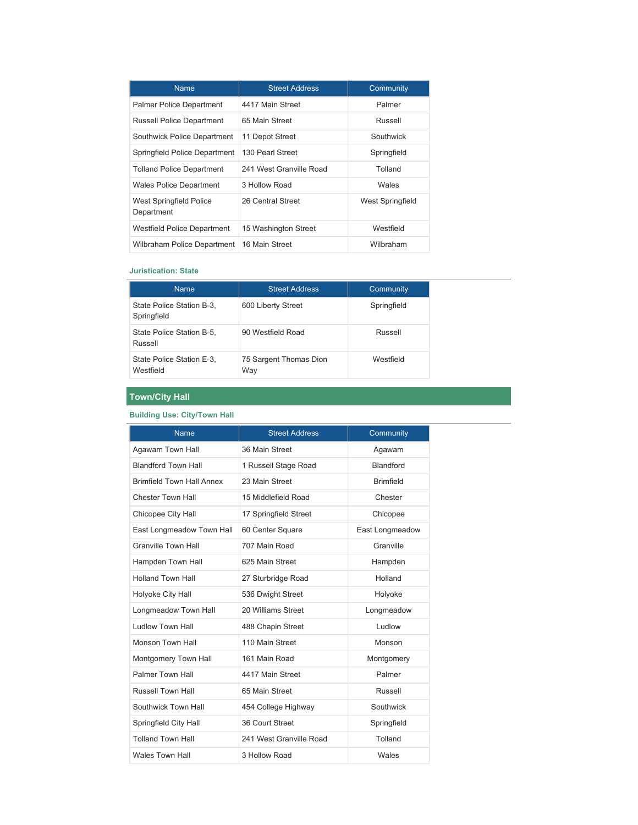| <b>Name</b>                           | <b>Street Address</b>   | Community        |
|---------------------------------------|-------------------------|------------------|
| <b>Palmer Police Department</b>       | 4417 Main Street        | Palmer           |
| <b>Russell Police Department</b>      | 65 Main Street          | Russell          |
| Southwick Police Department           | 11 Depot Street         | Southwick        |
| Springfield Police Department         | 130 Pearl Street        | Springfield      |
| Tolland Police Department             | 241 West Granville Road | Tolland          |
| <b>Wales Police Department</b>        | 3 Hollow Road           | Wales            |
| West Springfield Police<br>Department | 26 Central Street       | West Springfield |
| Westfield Police Department           | 15 Washington Street    | Westfield        |
| Wilbraham Police Department           | 16 Main Street          | Wilbraham        |

### **Juristication: State**

| <b>Name</b>                              | <b>Street Address</b>         | Community   |
|------------------------------------------|-------------------------------|-------------|
| State Police Station B-3,<br>Springfield | 600 Liberty Street            | Springfield |
| State Police Station B-5,<br>Russell     | 90 Westfield Road             | Russell     |
| State Police Station E-3,<br>Westfield   | 75 Sargent Thomas Dion<br>Way | Westfield   |

## **Town/City Hall**

### **Building Use: City/Town Hall**

| <b>Name</b>                      | <b>Street Address</b>   | Community        |
|----------------------------------|-------------------------|------------------|
| Agawam Town Hall                 | 36 Main Street          | Agawam           |
| <b>Blandford Town Hall</b>       | 1 Russell Stage Road    | <b>Blandford</b> |
| <b>Brimfield Town Hall Annex</b> | 23 Main Street          | <b>Brimfield</b> |
| <b>Chester Town Hall</b>         | 15 Middlefield Road     | Chester          |
| Chicopee City Hall               | 17 Springfield Street   | Chicopee         |
| East Longmeadow Town Hall        | 60 Center Square        | East Longmeadow  |
| <b>Granville Town Hall</b>       | 707 Main Road           | Granville        |
| Hampden Town Hall                | 625 Main Street         | Hampden          |
| <b>Holland Town Hall</b>         | 27 Sturbridge Road      | Holland          |
| Holyoke City Hall                | 536 Dwight Street       | Holyoke          |
| Longmeadow Town Hall             | 20 Williams Street      | Longmeadow       |
| <b>Ludlow Town Hall</b>          | 488 Chapin Street       | Ludlow           |
| Monson Town Hall                 | 110 Main Street         | Monson           |
| Montgomery Town Hall             | 161 Main Road           | Montgomery       |
| <b>Palmer Town Hall</b>          | 4417 Main Street        | Palmer           |
| Russell Town Hall                | 65 Main Street          | Russell          |
| Southwick Town Hall              | 454 College Highway     | Southwick        |
| Springfield City Hall            | 36 Court Street         | Springfield      |
| <b>Tolland Town Hall</b>         | 241 West Granville Road | Tolland          |
| <b>Wales Town Hall</b>           | 3 Hollow Road           | Wales            |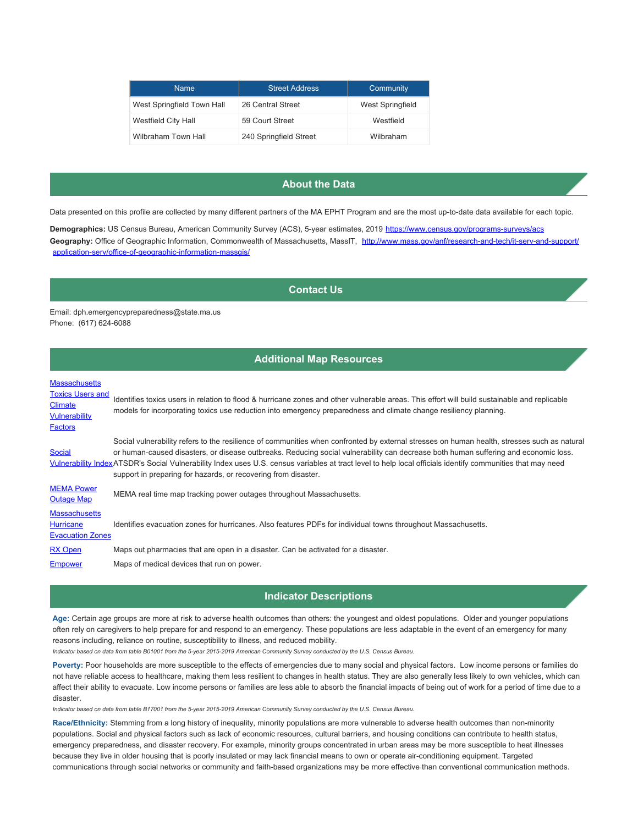| <b>Name</b>                | <b>Street Address</b>  | Community               |
|----------------------------|------------------------|-------------------------|
| West Springfield Town Hall | 26 Central Street      | <b>West Springfield</b> |
| Westfield City Hall        | 59 Court Street        | Westfield               |
| Wilbraham Town Hall        | 240 Springfield Street | Wilbraham               |

## **About the Data**

Data presented on this profile are collected by many different partners of the MA EPHT Program and are the most up-to-date data available for each topic.

**Demographics:** US Census Bureau, American Community Survey (ACS), 5-year estimates, 2019 <https://www.census.gov/programs-surveys/acs> Geography: Office of Geographic Information, Commonwealth of Massachusetts, MassIT, [http://www.mass.gov/anf/research-and-tech/it-serv-and-support/](http://www.mass.gov/anf/research-and-tech/it-serv-and-support/application-serv/office-of-geographic-information-massgis/) [application-serv/office-of-geographic-information-massgis/](http://www.mass.gov/anf/research-and-tech/it-serv-and-support/application-serv/office-of-geographic-information-massgis/)

### **Contact Us**

Email: dph.emergencypreparedness@state.ma.us Phone: (617) 624-6088

### **Additional Map Resources**

### **[Massachusetts](https://mass-eoeea.maps.arcgis.com/apps/OnePane/basicviewer/index.html?appid=36d72b75ad55454fb8a9c1af809fa92a)**

| <b>Toxics Users and</b><br><b>Climate</b><br><b>Vulnerability</b><br><b>Factors</b> | Identifies toxics users in relation to flood & hurricane zones and other vulnerable areas. This effort will build sustainable and replicable<br>models for incorporating toxics use reduction into emergency preparedness and climate change resiliency planning.                                                                                                                                                                                                                                                  |
|-------------------------------------------------------------------------------------|--------------------------------------------------------------------------------------------------------------------------------------------------------------------------------------------------------------------------------------------------------------------------------------------------------------------------------------------------------------------------------------------------------------------------------------------------------------------------------------------------------------------|
| <b>Social</b>                                                                       | Social vulnerability refers to the resilience of communities when confronted by external stresses on human health, stresses such as natural<br>or human-caused disasters, or disease outbreaks. Reducing social vulnerability can decrease both human suffering and economic loss.<br>Vulnerability IndexATSDR's Social Vulnerability Index uses U.S. census variables at tract level to help local officials identify communities that may need<br>support in preparing for hazards, or recovering from disaster. |
| <b>MEMA Power</b><br><b>Outage Map</b>                                              | MEMA real time map tracking power outages throughout Massachusetts.                                                                                                                                                                                                                                                                                                                                                                                                                                                |
| <b>Massachusetts</b><br><b>Hurricane</b><br><b>Evacuation Zones</b>                 | Identifies evacuation zones for hurricanes. Also features PDFs for individual towns throughout Massachusetts.                                                                                                                                                                                                                                                                                                                                                                                                      |
| <b>RX Open</b>                                                                      | Maps out pharmacies that are open in a disaster. Can be activated for a disaster.                                                                                                                                                                                                                                                                                                                                                                                                                                  |
| <b>Empower</b>                                                                      | Maps of medical devices that run on power.                                                                                                                                                                                                                                                                                                                                                                                                                                                                         |

### **Indicator Descriptions**

**Age:** Certain age groups are more at risk to adverse health outcomes than others: the youngest and oldest populations. Older and younger populations often rely on caregivers to help prepare for and respond to an emergency. These populations are less adaptable in the event of an emergency for many reasons including, reliance on routine, susceptibility to illness, and reduced mobility.

*Indicator based on data from table B01001 from the 5-year 2015-2019 American Community Survey conducted by the U.S. Census Bureau.*

Poverty: Poor households are more susceptible to the effects of emergencies due to many social and physical factors. Low income persons or families do not have reliable access to healthcare, making them less resilient to changes in health status. They are also generally less likely to own vehicles, which can affect their ability to evacuate. Low income persons or families are less able to absorb the financial impacts of being out of work for a period of time due to a disaster.

*Indicator based on data from table B17001 from the 5-year 2015-2019 American Community Survey conducted by the U.S. Census Bureau.*

**Race/Ethnicity:** Stemming from a long history of inequality, minority populations are more vulnerable to adverse health outcomes than non-minority populations. Social and physical factors such as lack of economic resources, cultural barriers, and housing conditions can contribute to health status, emergency preparedness, and disaster recovery. For example, minority groups concentrated in urban areas may be more susceptible to heat illnesses because they live in older housing that is poorly insulated or may lack financial means to own or operate air-conditioning equipment. Targeted communications through social networks or community and faith-based organizations may be more effective than conventional communication methods.